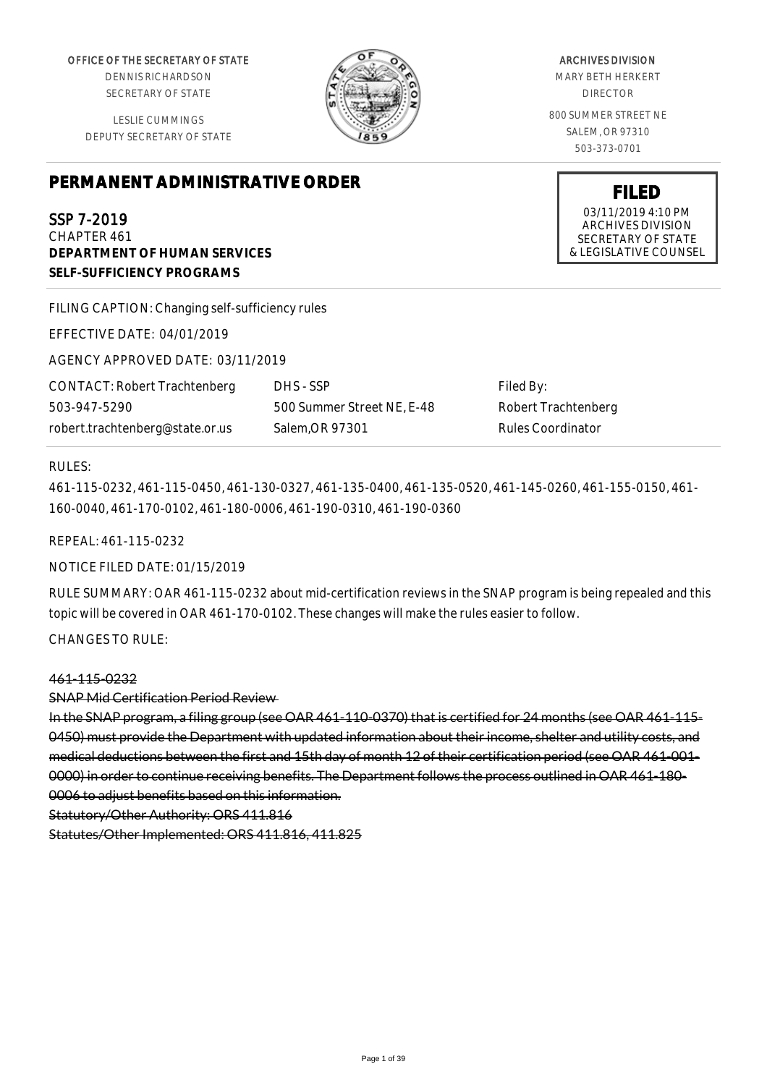OFFICE OF THE SECRETARY OF STATE

DENNIS RICHARDSON SECRETARY OF STATE

LESLIE CUMMINGS DEPUTY SECRETARY OF STATE

# **PERMANENT ADMINISTRATIVE ORDER**

SSP 7-2019

CHAPTER 461 **DEPARTMENT OF HUMAN SERVICES SELF-SUFFICIENCY PROGRAMS**

FILING CAPTION: Changing self-sufficiency rules

EFFECTIVE DATE: 04/01/2019

AGENCY APPROVED DATE: 03/11/2019

CONTACT: Robert Trachtenberg 503-947-5290 robert.trachtenberg@state.or.us

DHS - SSP 500 Summer Street NE, E-48 Salem,OR 97301

Filed By: Robert Trachtenberg Rules Coordinator

#### RULES:

461-115-0232, 461-115-0450, 461-130-0327, 461-135-0400, 461-135-0520, 461-145-0260, 461-155-0150, 461- 160-0040, 461-170-0102, 461-180-0006, 461-190-0310, 461-190-0360

REPEAL: 461-115-0232

NOTICE FILED DATE: 01/15/2019

RULE SUMMARY: OAR 461-115-0232 about mid-certification reviews in the SNAP program is being repealed and this topic will be covered in OAR 461-170-0102. These changes will make the rules easier to follow.

CHANGES TO RULE:

#### 461-115-0232

#### SNAP Mid Certification Period Review

In the SNAP program, a filing group (see OAR 461-110-0370) that is certified for 24 months (see OAR 461-115- 0450) must provide the Department with updated information about their income, shelter and utility costs, and medical deductions between the first and 15th day of month 12 of their certification period (see OAR 461-001- 0000) in order to continue receiving benefits. The Department follows the process outlined in OAR 461-180- 0006 to adjust benefits based on this information.

Statutory/Other Authority: ORS 411.816

Statutes/Other Implemented: ORS 411.816, 411.825

#### ARCHIVES DIVISION

MARY BETH HERKERT DIRECTOR

800 SUMMER STREET NE SALEM, OR 97310 503-373-0701

> **FILED** 03/11/2019 4:10 PM ARCHIVES DIVISION SECRETARY OF STATE & LEGISLATIVE COUNSEL

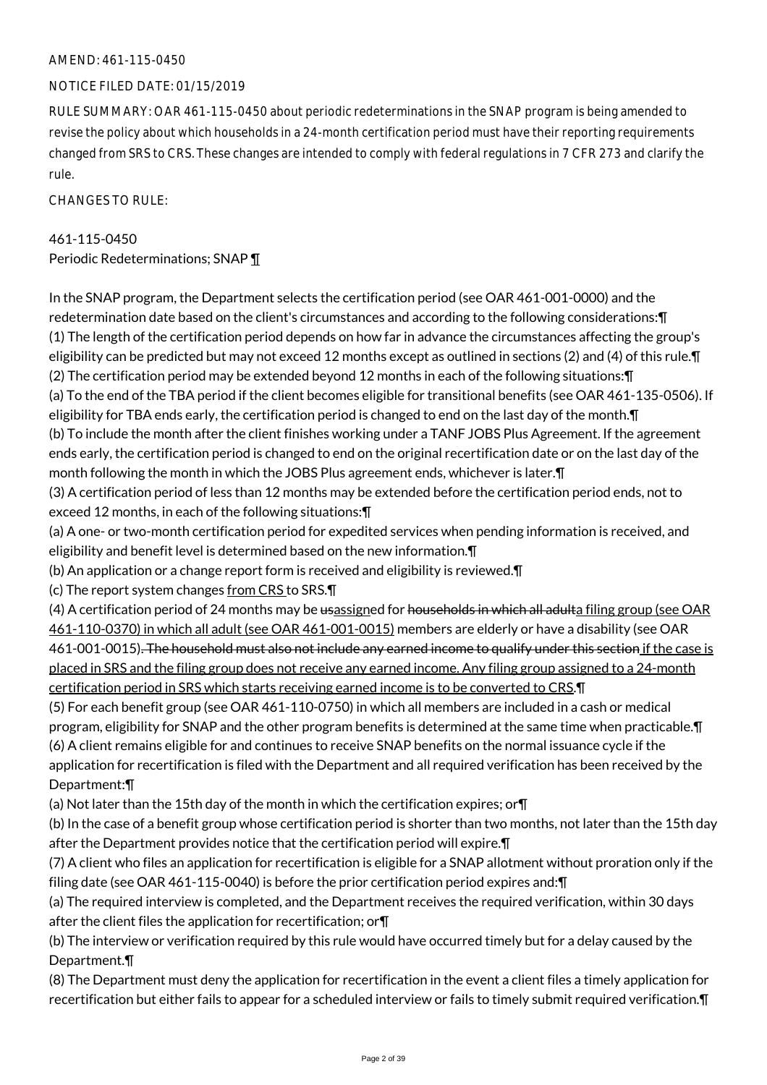# AMEND: 461-115-0450

# NOTICE FILED DATE: 01/15/2019

RULE SUMMARY: OAR 461-115-0450 about periodic redeterminations in the SNAP program is being amended to revise the policy about which households in a 24-month certification period must have their reporting requirements changed from SRS to CRS. These changes are intended to comply with federal regulations in 7 CFR 273 and clarify the rule.

CHANGES TO RULE:

#### 461-115-0450

Periodic Redeterminations; SNAP ¶

In the SNAP program, the Department selects the certification period (see OAR 461-001-0000) and the redetermination date based on the client's circumstances and according to the following considerations:¶ (1) The length of the certification period depends on how far in advance the circumstances affecting the group's eligibility can be predicted but may not exceed 12 months except as outlined in sections (2) and (4) of this rule.¶ (2) The certification period may be extended beyond 12 months in each of the following situations:¶ (a) To the end of the TBA period if the client becomes eligible for transitional benefits (see OAR 461-135-0506). If eligibility for TBA ends early, the certification period is changed to end on the last day of the month. In (b) To include the month after the client finishes working under a TANF JOBS Plus Agreement. If the agreement ends early, the certification period is changed to end on the original recertification date or on the last day of the month following the month in which the JOBS Plus agreement ends, whichever is later.¶ (3) A certification period of less than 12 months may be extended before the certification period ends, not to exceed 12 months, in each of the following situations:¶ (a) A one- or two-month certification period for expedited services when pending information is received, and eligibility and benefit level is determined based on the new information.¶ (b) An application or a change report form is received and eligibility is reviewed.¶ (c) The report system changes from CRS to SRS.¶ (4) A certification period of 24 months may be usassigned for households in which all adulta filing group (see OAR 461-110-0370) in which all adult (see OAR 461-001-0015) members are elderly or have a disability (see OAR 461-001-0015). The household must also not include any earned income to qualify under this section if the case is placed in SRS and the filing group does not receive any earned income. Any filing group assigned to a 24-month certification period in SRS which starts receiving earned income is to be converted to CRS.¶ (5) For each benefit group (see OAR 461-110-0750) in which all members are included in a cash or medical program, eligibility for SNAP and the other program benefits is determined at the same time when practicable.¶ (6) A client remains eligible for and continues to receive SNAP benefits on the normal issuance cycle if the application for recertification is filed with the Department and all required verification has been received by the Department:¶

(a) Not later than the 15th day of the month in which the certification expires; or¶

(b) In the case of a benefit group whose certification period is shorter than two months, not later than the 15th day after the Department provides notice that the certification period will expire.¶

(7) A client who files an application for recertification is eligible for a SNAP allotment without proration only if the filing date (see OAR 461-115-0040) is before the prior certification period expires and:¶

(a) The required interview is completed, and the Department receives the required verification, within 30 days after the client files the application for recertification; or¶

(b) The interview or verification required by this rule would have occurred timely but for a delay caused by the Department.¶

(8) The Department must deny the application for recertification in the event a client files a timely application for recertification but either fails to appear for a scheduled interview or fails to timely submit required verification.¶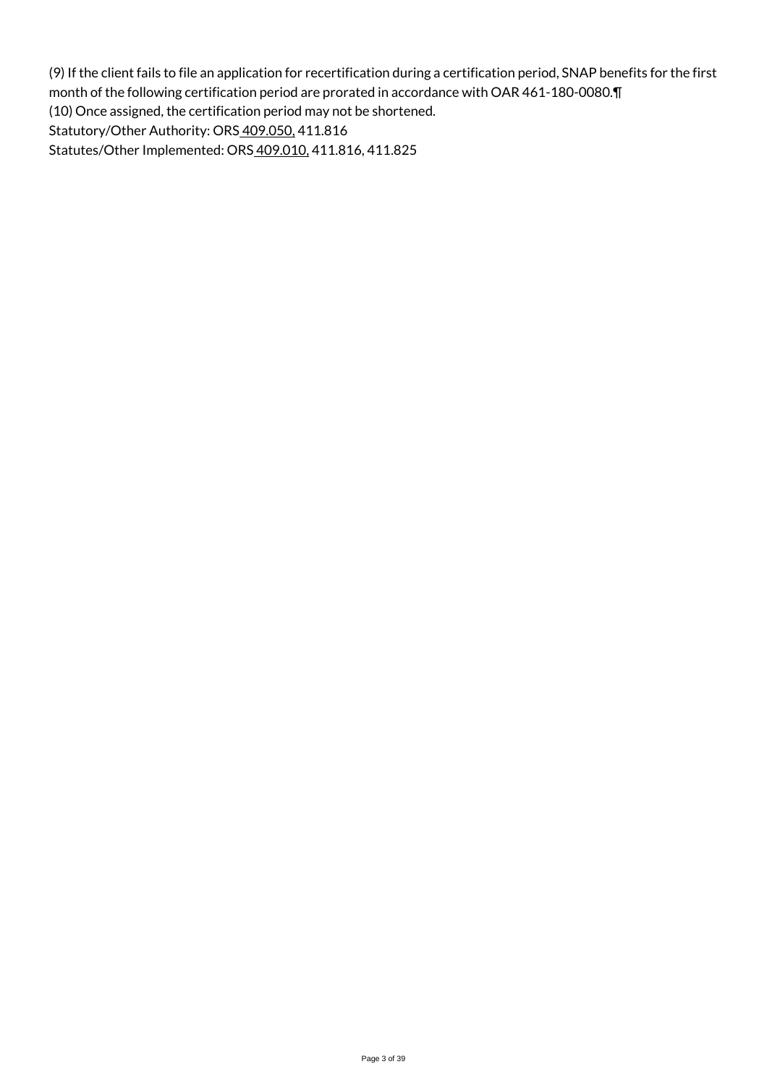(9) If the client fails to file an application for recertification during a certification period, SNAP benefits for the first month of the following certification period are prorated in accordance with OAR 461-180-0080.¶ (10) Once assigned, the certification period may not be shortened. Statutory/Other Authority: ORS 409.050, 411.816 Statutes/Other Implemented: ORS 409.010, 411.816, 411.825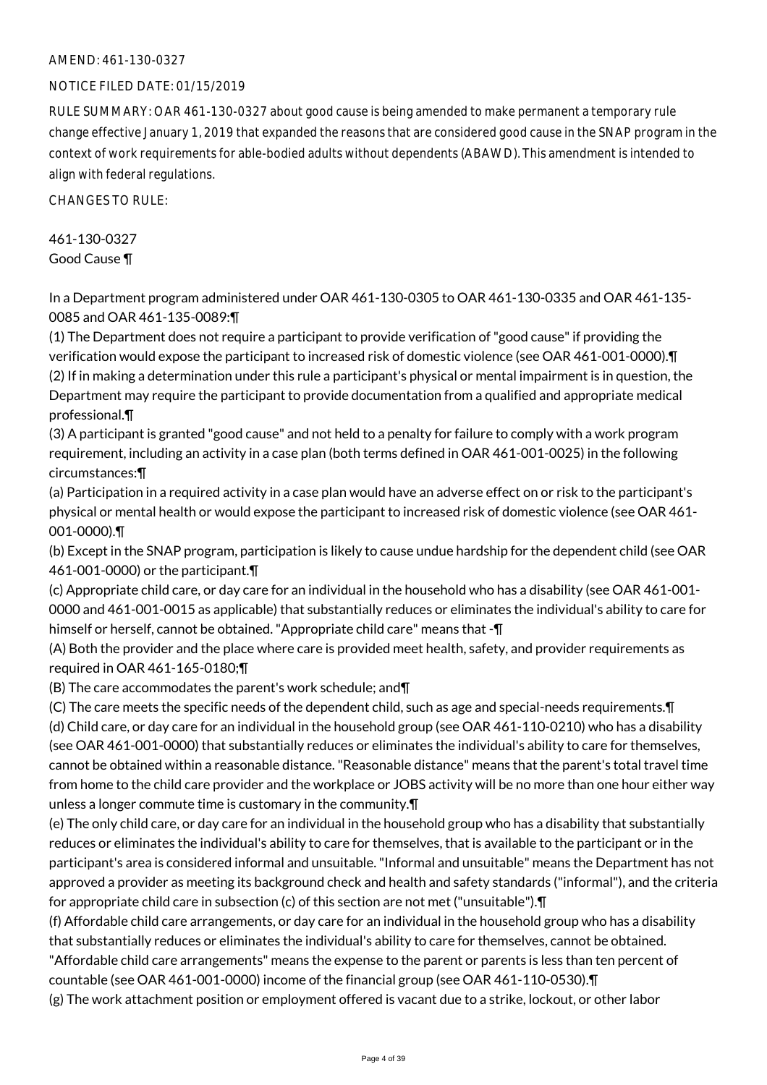# AMEND: 461-130-0327

# NOTICE FILED DATE: 01/15/2019

RULE SUMMARY: OAR 461-130-0327 about good cause is being amended to make permanent a temporary rule change effective January 1, 2019 that expanded the reasons that are considered good cause in the SNAP program in the context of work requirements for able-bodied adults without dependents (ABAWD). This amendment is intended to align with federal regulations.

CHANGES TO RULE:

461-130-0327 Good Cause ¶

In a Department program administered under OAR 461-130-0305 to OAR 461-130-0335 and OAR 461-135- 0085 and OAR 461-135-0089:¶

(1) The Department does not require a participant to provide verification of "good cause" if providing the verification would expose the participant to increased risk of domestic violence (see OAR 461-001-0000).¶ (2) If in making a determination under this rule a participant's physical or mental impairment is in question, the Department may require the participant to provide documentation from a qualified and appropriate medical professional.¶

(3) A participant is granted "good cause" and not held to a penalty for failure to comply with a work program requirement, including an activity in a case plan (both terms defined in OAR 461-001-0025) in the following circumstances:¶

(a) Participation in a required activity in a case plan would have an adverse effect on or risk to the participant's physical or mental health or would expose the participant to increased risk of domestic violence (see OAR 461- 001-0000).¶

(b) Except in the SNAP program, participation is likely to cause undue hardship for the dependent child (see OAR 461-001-0000) or the participant.¶

(c) Appropriate child care, or day care for an individual in the household who has a disability (see OAR 461-001- 0000 and 461-001-0015 as applicable) that substantially reduces or eliminates the individual's ability to care for himself or herself, cannot be obtained. "Appropriate child care" means that -¶

(A) Both the provider and the place where care is provided meet health, safety, and provider requirements as required in OAR 461-165-0180;¶

(B) The care accommodates the parent's work schedule; and¶

(C) The care meets the specific needs of the dependent child, such as age and special-needs requirements.¶ (d) Child care, or day care for an individual in the household group (see OAR 461-110-0210) who has a disability (see OAR 461-001-0000) that substantially reduces or eliminates the individual's ability to care for themselves, cannot be obtained within a reasonable distance. "Reasonable distance" means that the parent's total travel time from home to the child care provider and the workplace or JOBS activity will be no more than one hour either way unless a longer commute time is customary in the community.¶

(e) The only child care, or day care for an individual in the household group who has a disability that substantially reduces or eliminates the individual's ability to care for themselves, that is available to the participant or in the participant's area is considered informal and unsuitable. "Informal and unsuitable" means the Department has not approved a provider as meeting its background check and health and safety standards ("informal"), and the criteria for appropriate child care in subsection (c) of this section are not met ("unsuitable").¶

(f) Affordable child care arrangements, or day care for an individual in the household group who has a disability that substantially reduces or eliminates the individual's ability to care for themselves, cannot be obtained.

"Affordable child care arrangements" means the expense to the parent or parents is less than ten percent of countable (see OAR 461-001-0000) income of the financial group (see OAR 461-110-0530).¶

(g) The work attachment position or employment offered is vacant due to a strike, lockout, or other labor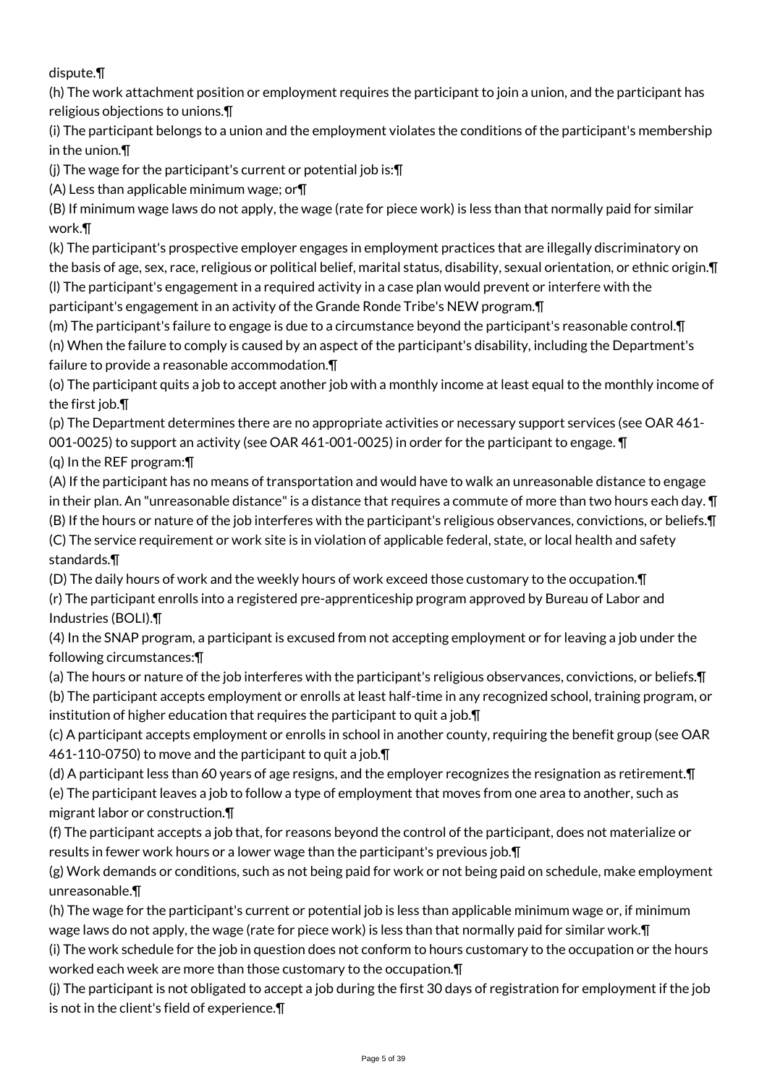dispute.¶

(h) The work attachment position or employment requires the participant to join a union, and the participant has religious objections to unions.¶

(i) The participant belongs to a union and the employment violates the conditions of the participant's membership in the union.¶

(j) The wage for the participant's current or potential job is:¶

(A) Less than applicable minimum wage; or¶

(B) If minimum wage laws do not apply, the wage (rate for piece work) is less than that normally paid for similar work.¶

(k) The participant's prospective employer engages in employment practices that are illegally discriminatory on the basis of age, sex, race, religious or political belief, marital status, disability, sexual orientation, or ethnic origin.¶ (l) The participant's engagement in a required activity in a case plan would prevent or interfere with the participant's engagement in an activity of the Grande Ronde Tribe's NEW program.¶

(m) The participant's failure to engage is due to a circumstance beyond the participant's reasonable control.¶ (n) When the failure to comply is caused by an aspect of the participant's disability, including the Department's failure to provide a reasonable accommodation.¶

(o) The participant quits a job to accept another job with a monthly income at least equal to the monthly income of the first job.¶

(p) The Department determines there are no appropriate activities or necessary support services (see OAR 461- 001-0025) to support an activity (see OAR 461-001-0025) in order for the participant to engage. ¶

(q) In the REF program:¶

(A) If the participant has no means of transportation and would have to walk an unreasonable distance to engage in their plan. An "unreasonable distance" is a distance that requires a commute of more than two hours each day. ¶ (B) If the hours or nature of the job interferes with the participant's religious observances, convictions, or beliefs.¶ (C) The service requirement or work site is in violation of applicable federal, state, or local health and safety standards.¶

(D) The daily hours of work and the weekly hours of work exceed those customary to the occupation.¶

(r) The participant enrolls into a registered pre-apprenticeship program approved by Bureau of Labor and Industries (BOLI).¶

(4) In the SNAP program, a participant is excused from not accepting employment or for leaving a job under the following circumstances:¶

(a) The hours or nature of the job interferes with the participant's religious observances, convictions, or beliefs.¶ (b) The participant accepts employment or enrolls at least half-time in any recognized school, training program, or institution of higher education that requires the participant to quit a job.¶

(c) A participant accepts employment or enrolls in school in another county, requiring the benefit group (see OAR 461-110-0750) to move and the participant to quit a job.¶

(d) A participant less than 60 years of age resigns, and the employer recognizes the resignation as retirement.¶ (e) The participant leaves a job to follow a type of employment that moves from one area to another, such as migrant labor or construction.¶

(f) The participant accepts a job that, for reasons beyond the control of the participant, does not materialize or results in fewer work hours or a lower wage than the participant's previous job.¶

(g) Work demands or conditions, such as not being paid for work or not being paid on schedule, make employment unreasonable.¶

(h) The wage for the participant's current or potential job is less than applicable minimum wage or, if minimum wage laws do not apply, the wage (rate for piece work) is less than that normally paid for similar work.¶

(i) The work schedule for the job in question does not conform to hours customary to the occupation or the hours worked each week are more than those customary to the occupation.¶

(j) The participant is not obligated to accept a job during the first 30 days of registration for employment if the job is not in the client's field of experience.¶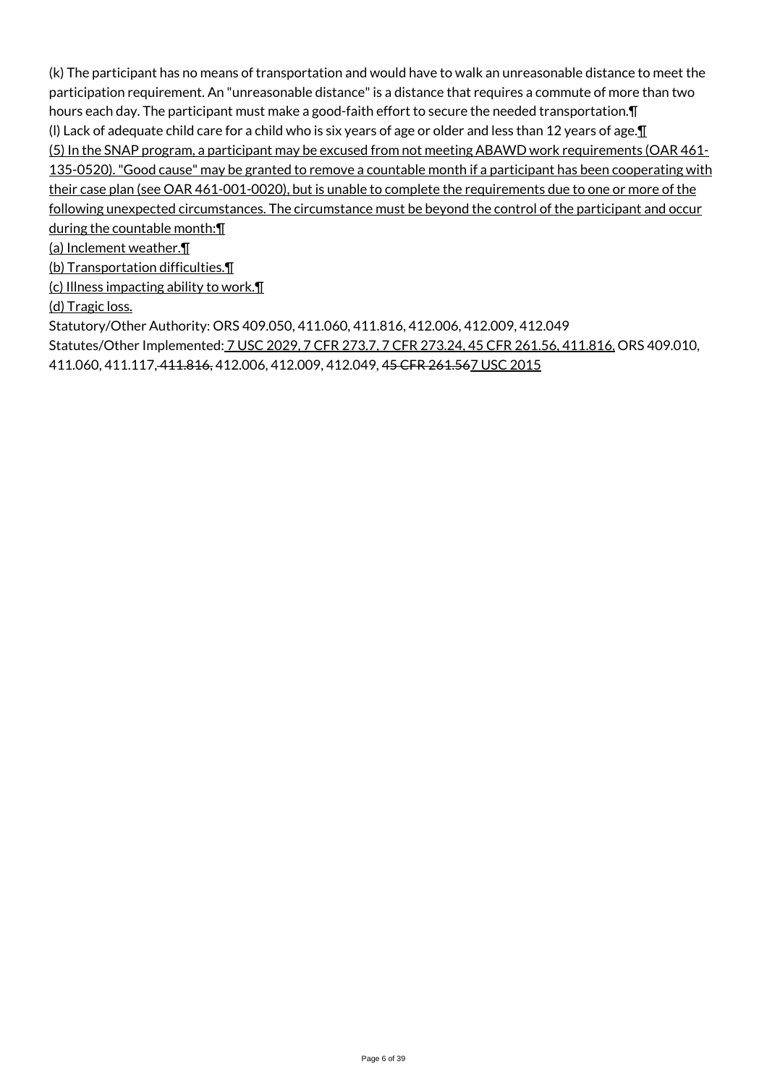(k) The participant has no means of transportation and would have to walk an unreasonable distance to meet the participation requirement. An "unreasonable distance" is a distance that requires a commute of more than two hours each day. The participant must make a good-faith effort to secure the needed transportation. In (I) Lack of adequate child care for a child who is six years of age or older and less than 12 years of age. $\P$ (5) In the SNAP program, a participant may be excused from not meeting ABAWD work requirements (OAR 461- 135-0520). "Good cause" may be granted to remove a countable month if a participant has been cooperating with their case plan (see OAR 461-001-0020), but is unable to complete the requirements due to one or more of the following unexpected circumstances. The circumstance must be beyond the control of the participant and occur during the countable month:¶

(a) Inclement weather.¶

(b) Transportation difficulties.¶

(c) Illness impacting ability to work.¶

(d) Tragic loss.

Statutory/Other Authority: ORS 409.050, 411.060, 411.816, 412.006, 412.009, 412.049

Statutes/Other Implemented: 7 USC 2029, 7 CFR 273.7, 7 CFR 273.24, 45 CFR 261.56, 411.816, ORS 409.010,

411.060, 411.117, 411.816, 412.006, 412.009, 412.049, 45 CFR 261.567 USC 2015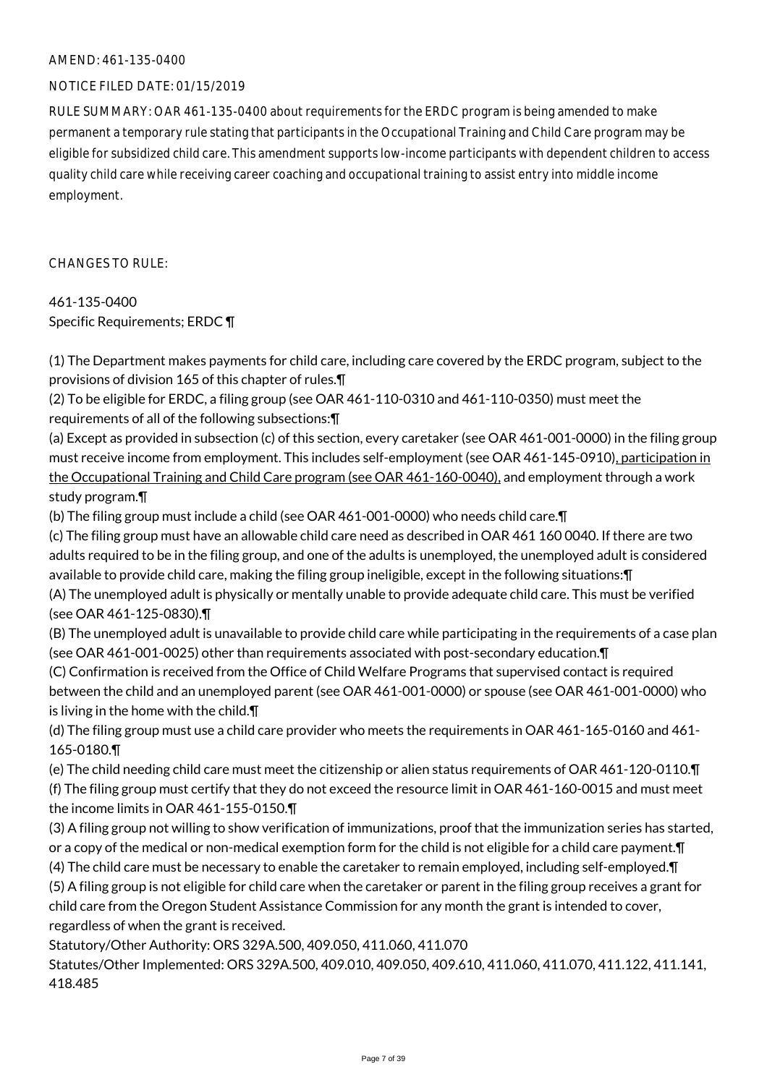#### AMEND: 461-135-0400

# NOTICE FILED DATE: 01/15/2019

RULE SUMMARY: OAR 461-135-0400 about requirements for the ERDC program is being amended to make permanent a temporary rule stating that participants in the Occupational Training and Child Care program may be eligible for subsidized child care. This amendment supports low-income participants with dependent children to access quality child care while receiving career coaching and occupational training to assist entry into middle income employment.

CHANGES TO RULE:

# 461-135-0400 Specific Requirements; ERDC ¶

(1) The Department makes payments for child care, including care covered by the ERDC program, subject to the provisions of division 165 of this chapter of rules.¶

(2) To be eligible for ERDC, a filing group (see OAR 461-110-0310 and 461-110-0350) must meet the requirements of all of the following subsections:¶

(a) Except as provided in subsection (c) of this section, every caretaker (see OAR 461-001-0000) in the filing group must receive income from employment. This includes self-employment (see OAR 461-145-0910), participation in the Occupational Training and Child Care program (see OAR 461-160-0040), and employment through a work study program.¶

(b) The filing group must include a child (see OAR 461-001-0000) who needs child care.¶

(c) The filing group must have an allowable child care need as described in OAR 461 160 0040. If there are two adults required to be in the filing group, and one of the adults is unemployed, the unemployed adult is considered available to provide child care, making the filing group ineligible, except in the following situations:¶

(A) The unemployed adult is physically or mentally unable to provide adequate child care. This must be verified (see OAR 461-125-0830).¶

(B) The unemployed adult is unavailable to provide child care while participating in the requirements of a case plan (see OAR 461-001-0025) other than requirements associated with post-secondary education.¶

(C) Confirmation is received from the Office of Child Welfare Programs that supervised contact is required between the child and an unemployed parent (see OAR 461-001-0000) or spouse (see OAR 461-001-0000) who is living in the home with the child.¶

(d) The filing group must use a child care provider who meets the requirements in OAR 461-165-0160 and 461- 165-0180.¶

(e) The child needing child care must meet the citizenship or alien status requirements of OAR 461-120-0110.¶ (f) The filing group must certify that they do not exceed the resource limit in OAR 461-160-0015 and must meet the income limits in OAR 461-155-0150.¶

(3) A filing group not willing to show verification of immunizations, proof that the immunization series has started, or a copy of the medical or non-medical exemption form for the child is not eligible for a child care payment. I (4) The child care must be necessary to enable the caretaker to remain employed, including self-employed.¶

(5) A filing group is not eligible for child care when the caretaker or parent in the filing group receives a grant for child care from the Oregon Student Assistance Commission for any month the grant is intended to cover, regardless of when the grant is received.

Statutory/Other Authority: ORS 329A.500, 409.050, 411.060, 411.070

Statutes/Other Implemented: ORS 329A.500, 409.010, 409.050, 409.610, 411.060, 411.070, 411.122, 411.141, 418.485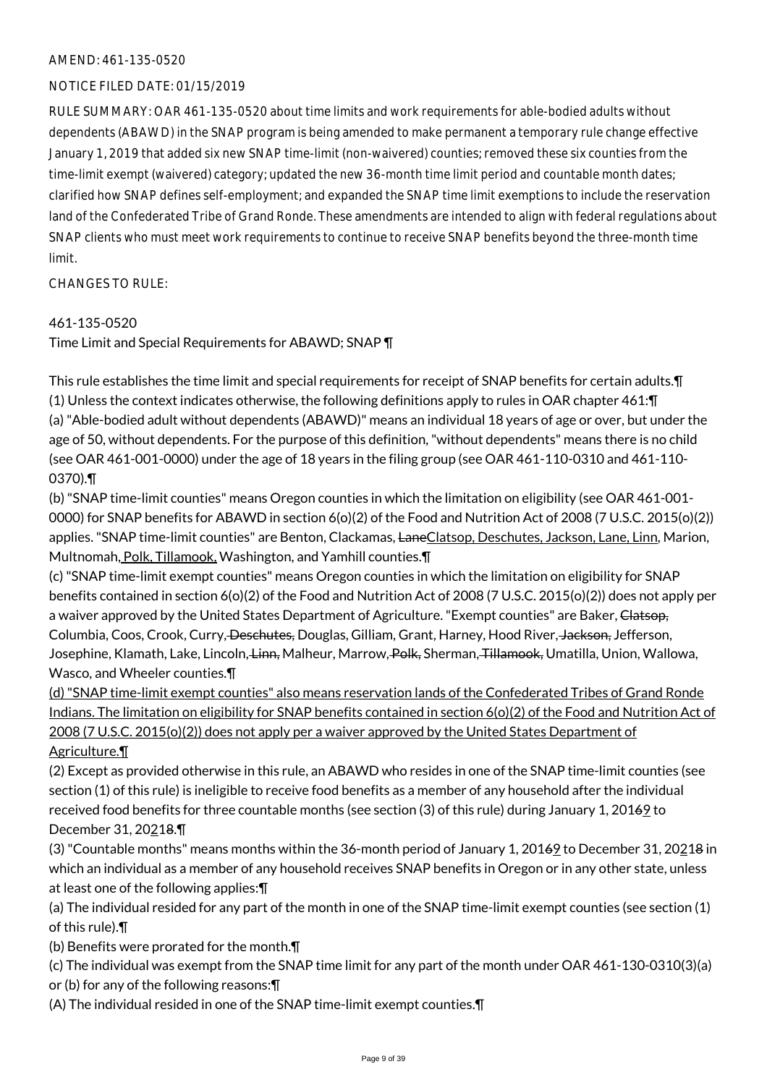# AMEND: 461-135-0520

# NOTICE FILED DATE: 01/15/2019

RULE SUMMARY: OAR 461-135-0520 about time limits and work requirements for able-bodied adults without dependents (ABAWD) in the SNAP program is being amended to make permanent a temporary rule change effective January 1, 2019 that added six new SNAP time-limit (non-waivered) counties; removed these six counties from the time-limit exempt (waivered) category; updated the new 36-month time limit period and countable month dates; clarified how SNAP defines self-employment; and expanded the SNAP time limit exemptions to include the reservation land of the Confederated Tribe of Grand Ronde. These amendments are intended to align with federal regulations about SNAP clients who must meet work requirements to continue to receive SNAP benefits beyond the three-month time limit.

CHANGES TO RULE:

# 461-135-0520

Time Limit and Special Requirements for ABAWD; SNAP ¶

This rule establishes the time limit and special requirements for receipt of SNAP benefits for certain adults.¶ (1) Unless the context indicates otherwise, the following definitions apply to rules in OAR chapter 461:¶ (a) "Able-bodied adult without dependents (ABAWD)" means an individual 18 years of age or over, but under the age of 50, without dependents. For the purpose of this definition, "without dependents" means there is no child (see OAR 461-001-0000) under the age of 18 years in the filing group (see OAR 461-110-0310 and 461-110- 0370).¶

(b) "SNAP time-limit counties" means Oregon counties in which the limitation on eligibility (see OAR 461-001- 0000) for SNAP benefits for ABAWD in section 6(o)(2) of the Food and Nutrition Act of 2008 (7 U.S.C. 2015(o)(2)) applies. "SNAP time-limit counties" are Benton, Clackamas, LaneClatsop, Deschutes, Jackson, Lane, Linn, Marion, Multnomah, Polk, Tillamook, Washington, and Yamhill counties.¶

(c) "SNAP time-limit exempt counties" means Oregon counties in which the limitation on eligibility for SNAP benefits contained in section 6(o)(2) of the Food and Nutrition Act of 2008 (7 U.S.C. 2015(o)(2)) does not apply per a waiver approved by the United States Department of Agriculture. "Exempt counties" are Baker, Clatsop, Columbia, Coos, Crook, Curry, <del>Deschutes,</del> Douglas, Gilliam, Grant, Harney, Hood River, Jackson, Jefferson, Josephine, Klamath, Lake, Lincoln, <del>Linn,</del> Malheur, Marrow, Polk, Sherman, Tillamook, Umatilla, Union, Wallowa, Wasco, and Wheeler counties.¶

(d) "SNAP time-limit exempt counties" also means reservation lands of the Confederated Tribes of Grand Ronde Indians. The limitation on eligibility for SNAP benefits contained in section 6(o)(2) of the Food and Nutrition Act of 2008 (7 U.S.C. 2015(o)(2)) does not apply per a waiver approved by the United States Department of Agriculture.¶

(2) Except as provided otherwise in this rule, an ABAWD who resides in one of the SNAP time-limit counties (see section (1) of this rule) is ineligible to receive food benefits as a member of any household after the individual received food benefits for three countable months (see section (3) of this rule) during January 1, 20169 to December 31, 20218.¶

(3) "Countable months" means months within the 36-month period of January 1, 2016 to December 31, 20218 in which an individual as a member of any household receives SNAP benefits in Oregon or in any other state, unless at least one of the following applies:¶

(a) The individual resided for any part of the month in one of the SNAP time-limit exempt counties (see section (1) of this rule).¶

(b) Benefits were prorated for the month.¶

(c) The individual was exempt from the SNAP time limit for any part of the month under OAR 461-130-0310(3)(a) or (b) for any of the following reasons:¶

(A) The individual resided in one of the SNAP time-limit exempt counties.¶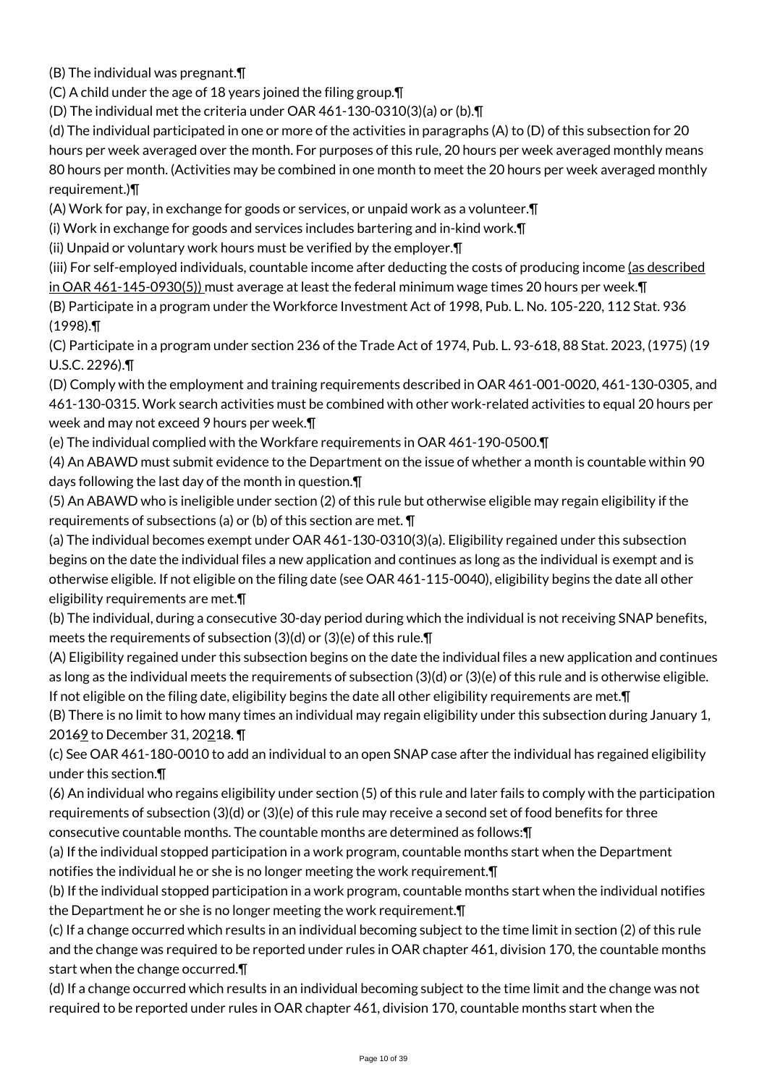(B) The individual was pregnant.¶

(C) A child under the age of 18 years joined the filing group.¶

(D) The individual met the criteria under OAR 461-130-0310(3)(a) or (b).¶

(d) The individual participated in one or more of the activities in paragraphs (A) to (D) of this subsection for 20 hours per week averaged over the month. For purposes of this rule, 20 hours per week averaged monthly means 80 hours per month. (Activities may be combined in one month to meet the 20 hours per week averaged monthly requirement.)¶

(A) Work for pay, in exchange for goods or services, or unpaid work as a volunteer.¶

(i) Work in exchange for goods and services includes bartering and in-kind work.¶

(ii) Unpaid or voluntary work hours must be verified by the employer.¶

(iii) For self-employed individuals, countable income after deducting the costs of producing income (as described in OAR 461-145-0930(5)) must average at least the federal minimum wage times 20 hours per week.¶ (B) Participate in a program under the Workforce Investment Act of 1998, Pub. L. No. 105-220, 112 Stat. 936 (1998).¶

(C) Participate in a program under section 236 of the Trade Act of 1974, Pub. L. 93-618, 88 Stat. 2023, (1975) (19 U.S.C. 2296).¶

(D) Comply with the employment and training requirements described in OAR 461-001-0020, 461-130-0305, and 461-130-0315. Work search activities must be combined with other work-related activities to equal 20 hours per week and may not exceed 9 hours per week.¶

(e) The individual complied with the Workfare requirements in OAR 461-190-0500.¶

(4) An ABAWD must submit evidence to the Department on the issue of whether a month is countable within 90 days following the last day of the month in question.¶

(5) An ABAWD who is ineligible under section (2) of this rule but otherwise eligible may regain eligibility if the requirements of subsections (a) or (b) of this section are met. ¶

(a) The individual becomes exempt under OAR 461-130-0310(3)(a). Eligibility regained under this subsection begins on the date the individual files a new application and continues as long as the individual is exempt and is otherwise eligible. If not eligible on the filing date (see OAR 461-115-0040), eligibility begins the date all other eligibility requirements are met.¶

(b) The individual, during a consecutive 30-day period during which the individual is not receiving SNAP benefits, meets the requirements of subsection (3)(d) or (3)(e) of this rule.¶

(A) Eligibility regained under this subsection begins on the date the individual files a new application and continues as long as the individual meets the requirements of subsection (3)(d) or (3)(e) of this rule and is otherwise eligible. If not eligible on the filing date, eligibility begins the date all other eligibility requirements are met.¶

(B) There is no limit to how many times an individual may regain eligibility under this subsection during January 1, 20169 to December 31, 20218. ¶

(c) See OAR 461-180-0010 to add an individual to an open SNAP case after the individual has regained eligibility under this section.¶

(6) An individual who regains eligibility under section (5) of this rule and later fails to comply with the participation requirements of subsection (3)(d) or (3)(e) of this rule may receive a second set of food benefits for three

consecutive countable months. The countable months are determined as follows:¶ (a) If the individual stopped participation in a work program, countable months start when the Department

notifies the individual he or she is no longer meeting the work requirement.¶

(b) If the individual stopped participation in a work program, countable months start when the individual notifies the Department he or she is no longer meeting the work requirement. The

(c) If a change occurred which results in an individual becoming subject to the time limit in section (2) of this rule and the change was required to be reported under rules in OAR chapter 461, division 170, the countable months start when the change occurred.¶

(d) If a change occurred which results in an individual becoming subject to the time limit and the change was not required to be reported under rules in OAR chapter 461, division 170, countable months start when the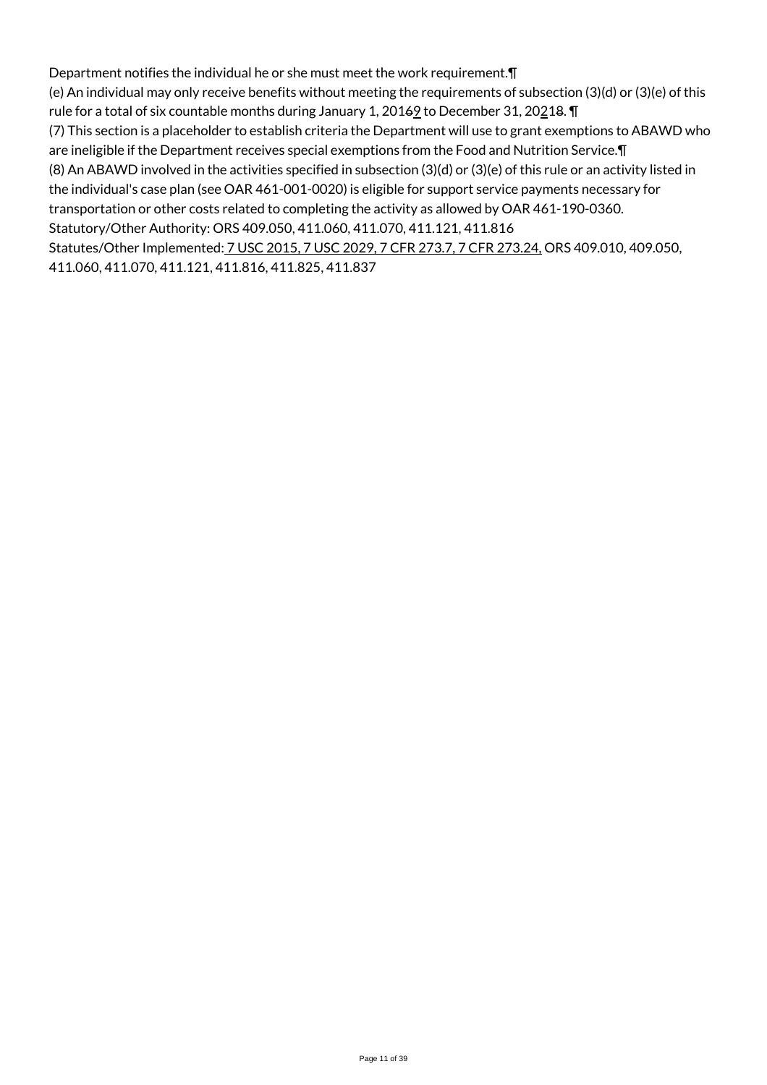Department notifies the individual he or she must meet the work requirement.¶ (e) An individual may only receive benefits without meeting the requirements of subsection (3)(d) or (3)(e) of this rule for a total of six countable months during January 1,  $20169$  to December 31,  $20218$ . T (7) This section is a placeholder to establish criteria the Department will use to grant exemptions to ABAWD who are ineligible if the Department receives special exemptions from the Food and Nutrition Service.¶ (8) An ABAWD involved in the activities specified in subsection (3)(d) or (3)(e) of this rule or an activity listed in the individual's case plan (see OAR 461-001-0020) is eligible for support service payments necessary for transportation or other costs related to completing the activity as allowed by OAR 461-190-0360. Statutory/Other Authority: ORS 409.050, 411.060, 411.070, 411.121, 411.816 Statutes/Other Implemented: 7 USC 2015, 7 USC 2029, 7 CFR 273.7, 7 CFR 273.24, ORS 409.010, 409.050, 411.060, 411.070, 411.121, 411.816, 411.825, 411.837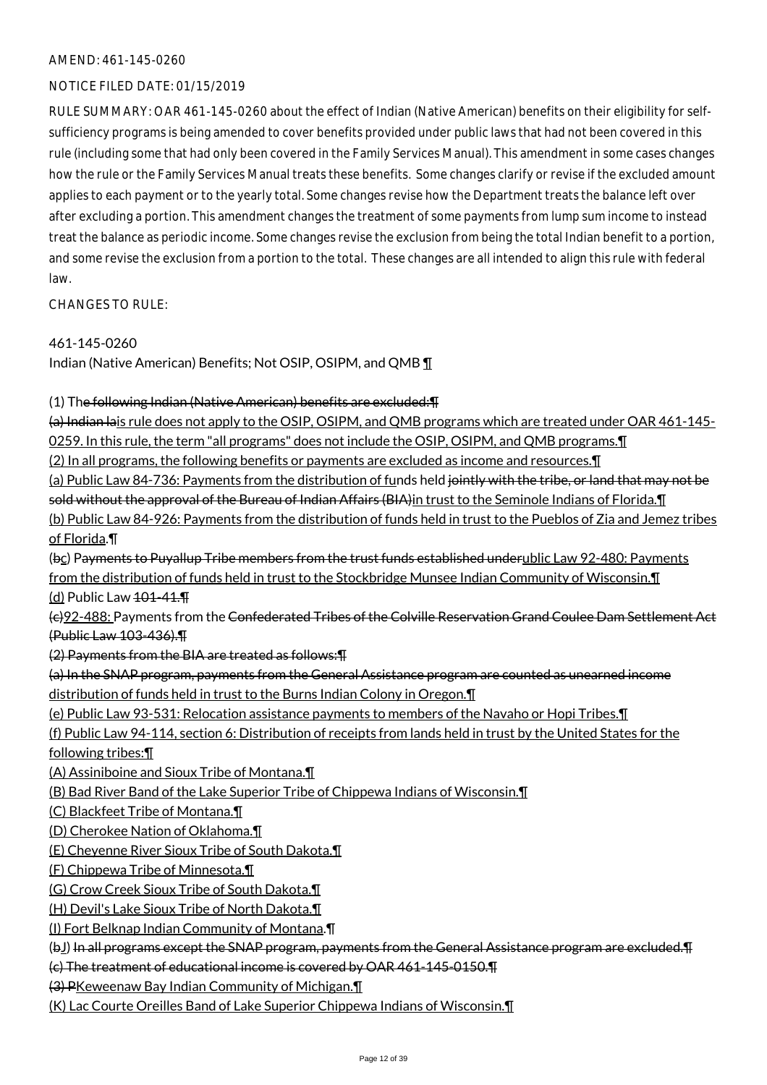# AMEND: 461-145-0260

# NOTICE FILED DATE: 01/15/2019

RULE SUMMARY: OAR 461-145-0260 about the effect of Indian (Native American) benefits on their eligibility for selfsufficiency programs is being amended to cover benefits provided under public laws that had not been covered in this rule (including some that had only been covered in the Family Services Manual). This amendment in some cases changes how the rule or the Family Services Manual treats these benefits. Some changes clarify or revise if the excluded amount applies to each payment or to the yearly total. Some changes revise how the Department treats the balance left over after excluding a portion. This amendment changes the treatment of some payments from lump sum income to instead treat the balance as periodic income. Some changes revise the exclusion from being the total Indian benefit to a portion, and some revise the exclusion from a portion to the total. These changes are all intended to align this rule with federal law.

CHANGES TO RULE:

# 461-145-0260

Indian (Native American) Benefits; Not OSIP, OSIPM, and QMB ¶

# (1) The following Indian (Native American) benefits are excluded:¶

(a) Indian lais rule does not apply to the OSIP, OSIPM, and QMB programs which are treated under OAR 461-145- 0259. In this rule, the term "all programs" does not include the OSIP, OSIPM, and QMB programs.¶ (2) In all programs, the following benefits or payments are excluded as income and resources.¶ (a) Public Law 84-736: Payments from the distribution of funds held jointly with the tribe, or land that may not be sold without the approval of the Bureau of Indian Affairs (BIA) in trust to the Seminole Indians of Florida. I (b) Public Law 84-926: Payments from the distribution of funds held in trust to the Pueblos of Zia and Jemez tribes of Florida.¶ (bc) Payments to Puyallup Tribe members from the trust funds established underublic Law 92-480: Payments from the distribution of funds held in trust to the Stockbridge Munsee Indian Community of Wisconsin.¶ (d) Public Law 101-41.¶ (c)92-488: Payments from the Confederated Tribes of the Colville Reservation Grand Coulee Dam Settlement Act (Public Law 103-436).¶ (2) Payments from the BIA are treated as follows:¶ (a) In the SNAP program, payments from the General Assistance program are counted as unearned income distribution of funds held in trust to the Burns Indian Colony in Oregon.¶ (e) Public Law 93-531: Relocation assistance payments to members of the Navaho or Hopi Tribes.¶ (f) Public Law 94-114, section 6: Distribution of receipts from lands held in trust by the United States for the following tribes:¶ (A) Assiniboine and Sioux Tribe of Montana.¶ (B) Bad River Band of the Lake Superior Tribe of Chippewa Indians of Wisconsin.¶ (C) Blackfeet Tribe of Montana.¶ (D) Cherokee Nation of Oklahoma.¶ (E) Cheyenne River Sioux Tribe of South Dakota.¶ (F) Chippewa Tribe of Minnesota.¶ (G) Crow Creek Sioux Tribe of South Dakota.¶ (H) Devil's Lake Sioux Tribe of North Dakota.¶ (I) Fort Belknap Indian Community of Montana.¶ (bJ) In all programs except the SNAP program, payments from the General Assistance program are excluded.¶ (c) The treatment of educational income is covered by OAR 461-145-0150.¶ (3) PKeweenaw Bay Indian Community of Michigan.¶ (K) Lac Courte Oreilles Band of Lake Superior Chippewa Indians of Wisconsin.¶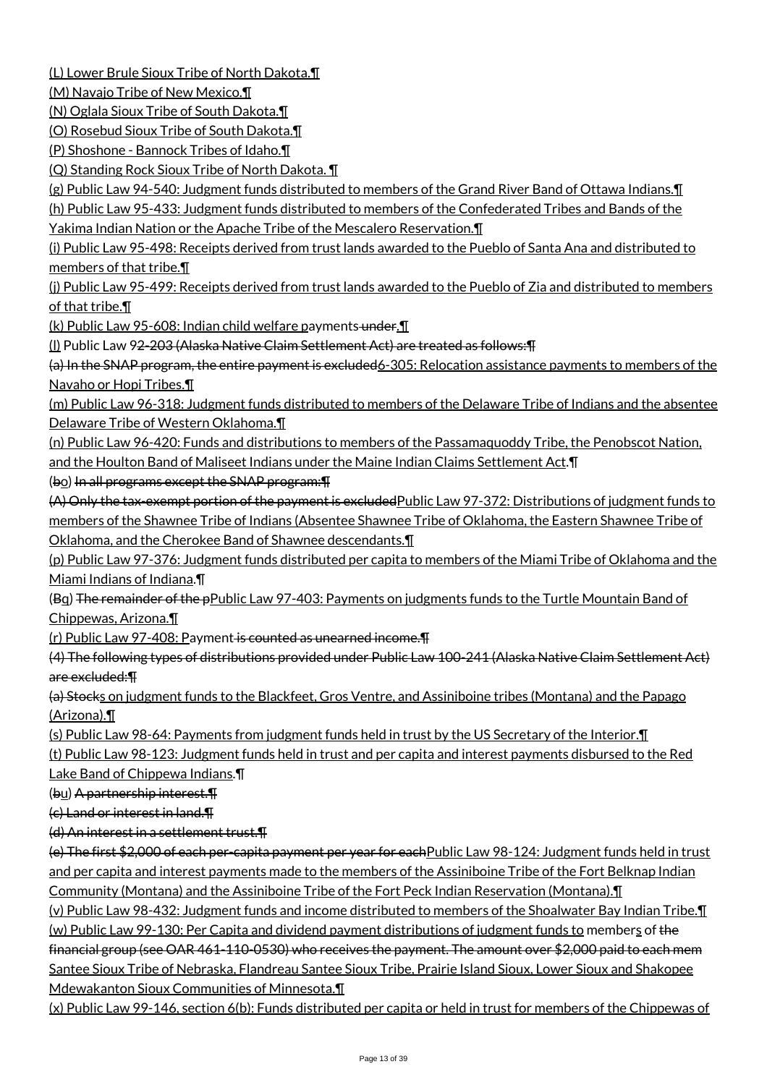(L) Lower Brule Sioux Tribe of North Dakota.¶

(M) Navajo Tribe of New Mexico.¶

(N) Oglala Sioux Tribe of South Dakota.¶

(O) Rosebud Sioux Tribe of South Dakota.¶

(P) Shoshone - Bannock Tribes of Idaho.¶

(Q) Standing Rock Sioux Tribe of North Dakota. ¶

(g) Public Law 94-540: Judgment funds distributed to members of the Grand River Band of Ottawa Indians.¶

(h) Public Law 95-433: Judgment funds distributed to members of the Confederated Tribes and Bands of the

Yakima Indian Nation or the Apache Tribe of the Mescalero Reservation.¶

(i) Public Law 95-498: Receipts derived from trust lands awarded to the Pueblo of Santa Ana and distributed to members of that tribe.¶

(j) Public Law 95-499: Receipts derived from trust lands awarded to the Pueblo of Zia and distributed to members of that tribe.¶

(k) Public Law 95-608: Indian child welfare payments under. I

(l) Public Law 92-203 (Alaska Native Claim Settlement Act) are treated as follows:¶

(a) In the SNAP program, the entire payment is excluded6-305: Relocation assistance payments to members of the Navaho or Hopi Tribes.¶

(m) Public Law 96-318: Judgment funds distributed to members of the Delaware Tribe of Indians and the absentee Delaware Tribe of Western Oklahoma.¶

(n) Public Law 96-420: Funds and distributions to members of the Passamaquoddy Tribe, the Penobscot Nation,

and the Houlton Band of Maliseet Indians under the Maine Indian Claims Settlement Act.¶

(bo) In all programs except the SNAP program:¶

(A) Only the tax-exempt portion of the payment is excludedPublic Law 97-372: Distributions of judgment funds to members of the Shawnee Tribe of Indians (Absentee Shawnee Tribe of Oklahoma, the Eastern Shawnee Tribe of Oklahoma, and the Cherokee Band of Shawnee descendants.¶

(p) Public Law 97-376: Judgment funds distributed per capita to members of the Miami Tribe of Oklahoma and the Miami Indians of Indiana.¶

(Bq) The remainder of the pPublic Law 97-403: Payments on judgments funds to the Turtle Mountain Band of Chippewas, Arizona.¶

(r) Public Law 97-408: Payment is counted as unearned income.¶

(4) The following types of distributions provided under Public Law 100-241 (Alaska Native Claim Settlement Act) are excluded:¶

(a) Stocks on judgment funds to the Blackfeet, Gros Ventre, and Assiniboine tribes (Montana) and the Papago (Arizona).¶

(s) Public Law 98-64: Payments from judgment funds held in trust by the US Secretary of the Interior.¶

(t) Public Law 98-123: Judgment funds held in trust and per capita and interest payments disbursed to the Red Lake Band of Chippewa Indians.¶

(bu) A partnership interest.¶

(c) Land or interest in land.¶

(d) An interest in a settlement trust.¶

(e) The first \$2,000 of each per-capita payment per year for eachPublic Law 98-124: Judgment funds held in trust and per capita and interest payments made to the members of the Assiniboine Tribe of the Fort Belknap Indian Community (Montana) and the Assiniboine Tribe of the Fort Peck Indian Reservation (Montana).¶

(v) Public Law 98-432: Judgment funds and income distributed to members of the Shoalwater Bay Indian Tribe.¶ (w) Public Law 99-130: Per Capita and dividend payment distributions of judgment funds to members of the

financial group (see OAR 461-110-0530) who receives the payment. The amount over \$2,000 paid to each mem Santee Sioux Tribe of Nebraska, Flandreau Santee Sioux Tribe, Prairie Island Sioux, Lower Sioux and Shakopee Mdewakanton Sioux Communities of Minnesota.¶

(x) Public Law 99-146, section 6(b): Funds distributed per capita or held in trust for members of the Chippewas of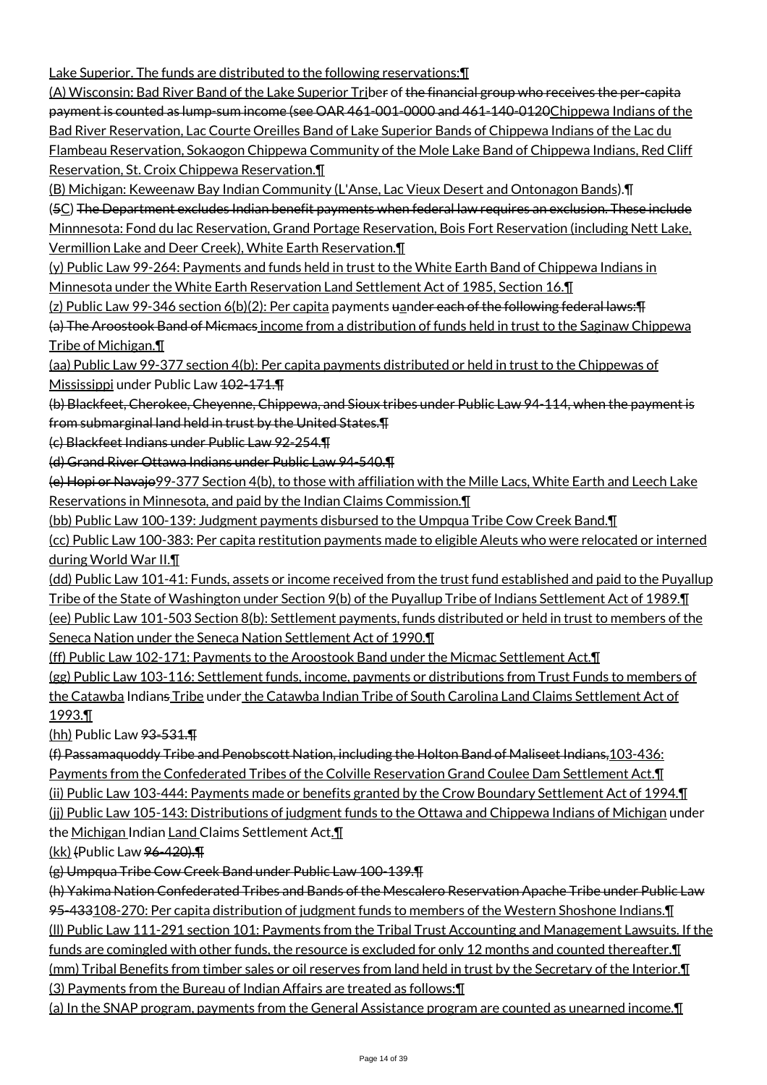Lake Superior. The funds are distributed to the following reservations:¶

(A) Wisconsin: Bad River Band of the Lake Superior Triber of the financial group who receives the per-capita payment is counted as lump-sum income (see OAR 461-001-0000 and 461-140-0120Chippewa Indians of the Bad River Reservation, Lac Courte Oreilles Band of Lake Superior Bands of Chippewa Indians of the Lac du Flambeau Reservation, Sokaogon Chippewa Community of the Mole Lake Band of Chippewa Indians, Red Cliff Reservation, St. Croix Chippewa Reservation.¶

(B) Michigan: Keweenaw Bay Indian Community (L'Anse, Lac Vieux Desert and Ontonagon Bands).¶

(5C) The Department excludes Indian benefit payments when federal law requires an exclusion. These include Minnnesota: Fond du lac Reservation, Grand Portage Reservation, Bois Fort Reservation (including Nett Lake, Vermillion Lake and Deer Creek), White Earth Reservation.¶

(y) Public Law 99-264: Payments and funds held in trust to the White Earth Band of Chippewa Indians in Minnesota under the White Earth Reservation Land Settlement Act of 1985, Section 16.¶

(z) Public Law 99-346 section 6(b)(2): Per capita payments uander each of the following federal laws:  $\text{F}$ (a) The Aroostook Band of Micmacs income from a distribution of funds held in trust to the Saginaw Chippewa Tribe of Michigan.¶

(aa) Public Law 99-377 section 4(b): Per capita payments distributed or held in trust to the Chippewas of Mississippi under Public Law 402-171.

(b) Blackfeet, Cherokee, Cheyenne, Chippewa, and Sioux tribes under Public Law 94-114, when the payment is from submarginal land held in trust by the United States.¶

(c) Blackfeet Indians under Public Law 92-254.¶

(d) Grand River Ottawa Indians under Public Law 94-540.¶

(e) Hopi or Navajo99-377 Section 4(b), to those with affiliation with the Mille Lacs, White Earth and Leech Lake Reservations in Minnesota, and paid by the Indian Claims Commission.¶

(bb) Public Law 100-139: Judgment payments disbursed to the Umpqua Tribe Cow Creek Band.¶

(cc) Public Law 100-383: Per capita restitution payments made to eligible Aleuts who were relocated or interned during World War II.¶

(dd) Public Law 101-41: Funds, assets or income received from the trust fund established and paid to the Puyallup Tribe of the State of Washington under Section 9(b) of the Puyallup Tribe of Indians Settlement Act of 1989.¶ (ee) Public Law 101-503 Section 8(b): Settlement payments, funds distributed or held in trust to members of the Seneca Nation under the Seneca Nation Settlement Act of 1990.¶

(ff) Public Law 102-171: Payments to the Aroostook Band under the Micmac Settlement Act.¶

(gg) Public Law 103-116: Settlement funds, income, payments or distributions from Trust Funds to members of the Catawba Indians Tribe under the Catawba Indian Tribe of South Carolina Land Claims Settlement Act of 1993.¶

(hh) Public Law 93-531.¶

(f) Passamaquoddy Tribe and Penobscott Nation, including the Holton Band of Maliseet Indians,103-436: Payments from the Confederated Tribes of the Colville Reservation Grand Coulee Dam Settlement Act.¶ (ii) Public Law 103-444: Payments made or benefits granted by the Crow Boundary Settlement Act of 1994.¶

(jj) Public Law 105-143: Distributions of judgment funds to the Ottawa and Chippewa Indians of Michigan under

the Michigan Indian Land Claims Settlement Act.

(kk) (Public Law 96-420).¶

(g) Umpqua Tribe Cow Creek Band under Public Law 100-139.¶

(h) Yakima Nation Confederated Tribes and Bands of the Mescalero Reservation Apache Tribe under Public Law 95-433108-270: Per capita distribution of judgment funds to members of the Western Shoshone Indians.¶ (ll) Public Law 111-291 section 101: Payments from the Tribal Trust Accounting and Management Lawsuits. If the funds are comingled with other funds, the resource is excluded for only 12 months and counted thereafter.¶ (mm) Tribal Benefits from timber sales or oil reserves from land held in trust by the Secretary of the Interior.¶ (3) Payments from the Bureau of Indian Affairs are treated as follows:¶

(a) In the SNAP program, payments from the General Assistance program are counted as unearned income.¶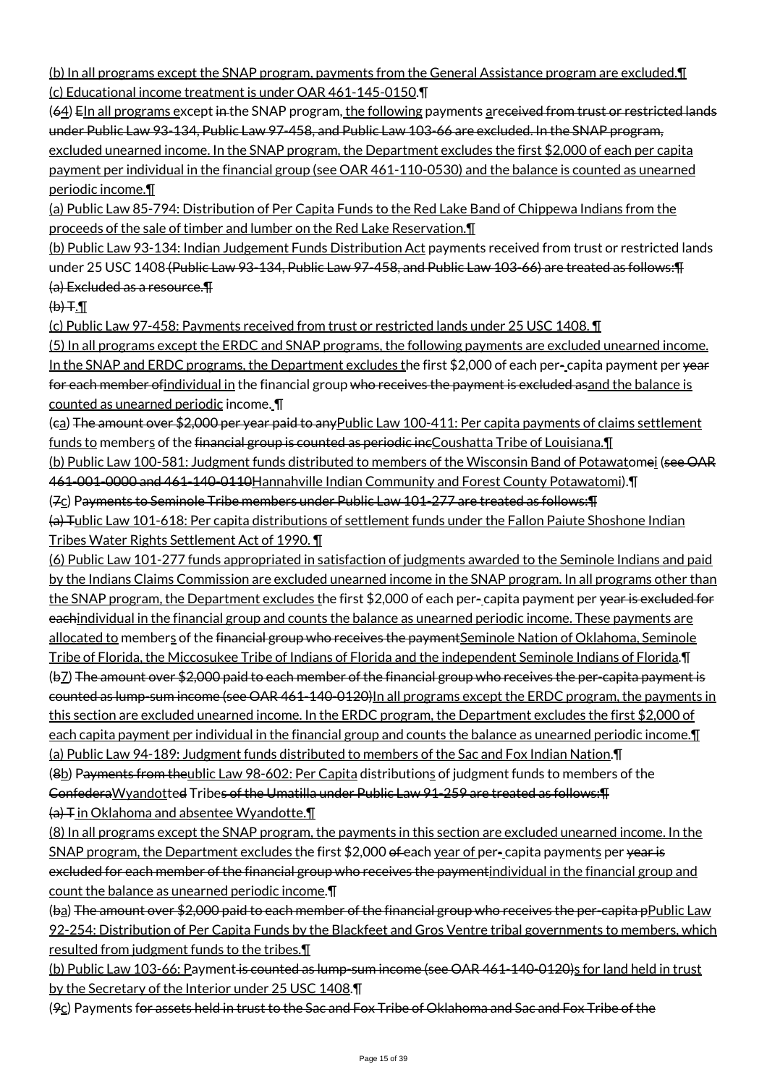(b) In all programs except the SNAP program, payments from the General Assistance program are excluded.¶ (c) Educational income treatment is under OAR 461-145-0150.¶

(64) EIn all programs except in the SNAP program, the following payments areceived from trust or restricted lands under Public Law 93-134, Public Law 97-458, and Public Law 103-66 are excluded. In the SNAP program, excluded unearned income. In the SNAP program, the Department excludes the first \$2,000 of each per capita payment per individual in the financial group (see OAR 461-110-0530) and the balance is counted as unearned periodic income.¶

(a) Public Law 85-794: Distribution of Per Capita Funds to the Red Lake Band of Chippewa Indians from the proceeds of the sale of timber and lumber on the Red Lake Reservation.¶

(b) Public Law 93-134: Indian Judgement Funds Distribution Act payments received from trust or restricted lands under 25 USC 1408 (Public Law 93-134, Public Law 97-458, and Public Law 103-66) are treated as follows:¶ (a) Excluded as a resource.¶

 $H.H$ 

(c) Public Law 97-458: Payments received from trust or restricted lands under 25 USC 1408. ¶

(5) In all programs except the ERDC and SNAP programs, the following payments are excluded unearned income. In the SNAP and ERDC programs, the Department excludes the first \$2,000 of each per-capita payment per  $\gamma$ ear for each member of individual in the financial group who receives the payment is excluded asand the balance is counted as unearned periodic income. ¶

(ca) The amount over \$2,000 per year paid to anyPublic Law 100-411: Per capita payments of claims settlement funds to members of the financial group is counted as periodic incCoushatta Tribe of Louisiana. I

(b) Public Law 100-581: Judgment funds distributed to members of the Wisconsin Band of Potawatomei (see OAR 461-001-0000 and 461-140-0110Hannahville Indian Community and Forest County Potawatomi).¶

(7c) Payments to Seminole Tribe members under Public Law 101-277 are treated as follows:¶

(a) Tublic Law 101-618: Per capita distributions of settlement funds under the Fallon Paiute Shoshone Indian Tribes Water Rights Settlement Act of 1990. ¶

(6) Public Law 101-277 funds appropriated in satisfaction of judgments awarded to the Seminole Indians and paid by the Indians Claims Commission are excluded unearned income in the SNAP program. In all programs other than the SNAP program, the Department excludes the first \$2,000 of each per-capita payment per year is excluded for eachindividual in the financial group and counts the balance as unearned periodic income. These payments are allocated to members of the financial group who receives the payment Seminole Nation of Oklahoma, Seminole Tribe of Florida, the Miccosukee Tribe of Indians of Florida and the independent Seminole Indians of Florida.¶ (b7) The amount over \$2,000 paid to each member of the financial group who receives the per-capita payment is counted as lump-sum income (see OAR 461-140-0120) In all programs except the ERDC program, the payments in this section are excluded unearned income. In the ERDC program, the Department excludes the first \$2,000 of each capita payment per individual in the financial group and counts the balance as unearned periodic income.¶ (a) Public Law 94-189: Judgment funds distributed to members of the Sac and Fox Indian Nation.¶ (8b) Payments from theublic Law 98-602: Per Capita distributions of judgment funds to members of the

ConfederaWyandotted Tribes of the Umatilla under Public Law 91-259 are treated as follows:¶  $\overline{a}$  T in Oklahoma and absentee Wyandotte.

(8) In all programs except the SNAP program, the payments in this section are excluded unearned income. In the SNAP program, the Department excludes the first \$2,000 of each year of per-capita payments per year is excluded for each member of the financial group who receives the paymentindividual in the financial group and count the balance as unearned periodic income.¶

(ba) The amount over \$2,000 paid to each member of the financial group who receives the per-capita pPublic Law 92-254: Distribution of Per Capita Funds by the Blackfeet and Gros Ventre tribal governments to members, which resulted from judgment funds to the tribes.¶

(b) Public Law 103-66: Payment is counted as lump-sum income (see OAR 461-140-0120)s for land held in trust by the Secretary of the Interior under 25 USC 1408.¶

( $9c$ ) Payments for assets held in trust to the Sac and Fox Tribe of Oklahoma and Sac and Fox Tribe of the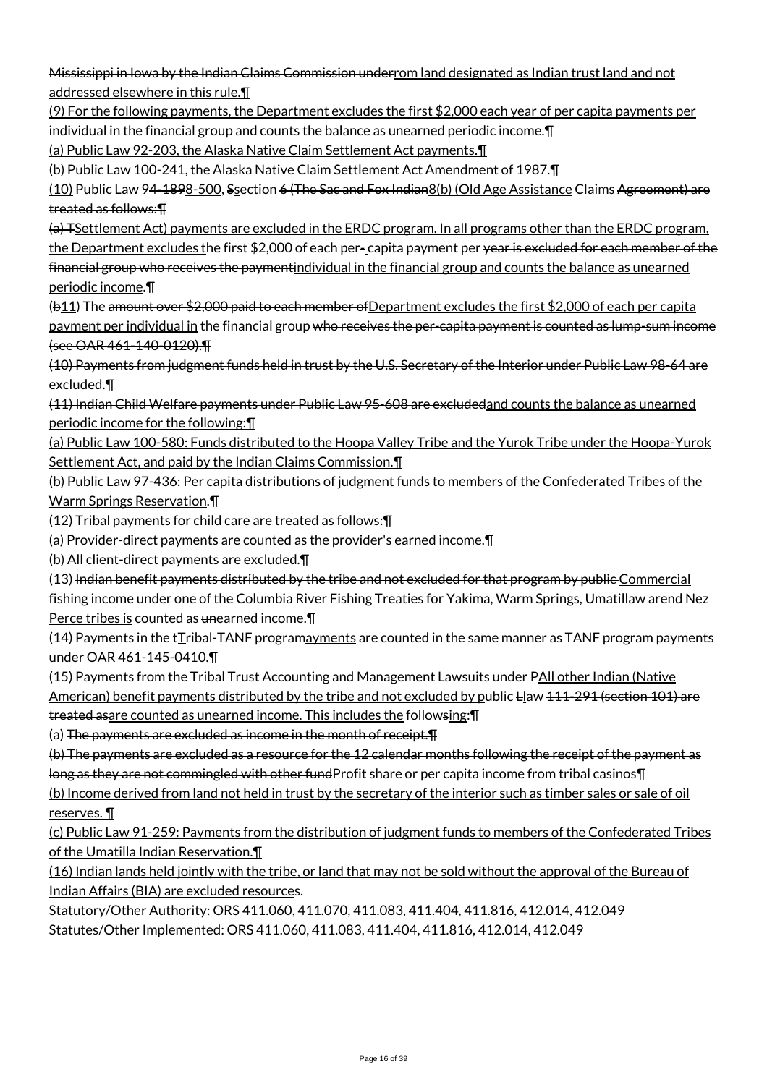Mississippi in Iowa by the Indian Claims Commission underrom land designated as Indian trust land and not addressed elsewhere in this rule.¶

(9) For the following payments, the Department excludes the first \$2,000 each year of per capita payments per individual in the financial group and counts the balance as unearned periodic income.¶

(a) Public Law 92-203, the Alaska Native Claim Settlement Act payments.¶

(b) Public Law 100-241, the Alaska Native Claim Settlement Act Amendment of 1987.¶

(10) Public Law 94-1898-500, Ssection 6 (The Sac and Fox Indian8(b) (Old Age Assistance Claims Agreement) are treated as follows:¶

(a) TSettlement Act) payments are excluded in the ERDC program. In all programs other than the ERDC program, the Department excludes the first \$2,000 of each per-capita payment per year is excluded for each member of the financial group who receives the paymentindividual in the financial group and counts the balance as unearned periodic income.¶

(b11) The amount over \$2,000 paid to each member ofDepartment excludes the first \$2,000 of each per capita payment per individual in the financial group who receives the per-capita payment is counted as lump-sum income (see OAR 461-140-0120).¶

(10) Payments from judgment funds held in trust by the U.S. Secretary of the Interior under Public Law 98-64 are excluded.¶

(11) Indian Child Welfare payments under Public Law 95-608 are excludedand counts the balance as unearned periodic income for the following:¶

(a) Public Law 100-580: Funds distributed to the Hoopa Valley Tribe and the Yurok Tribe under the Hoopa-Yurok Settlement Act, and paid by the Indian Claims Commission.¶

(b) Public Law 97-436: Per capita distributions of judgment funds to members of the Confederated Tribes of the Warm Springs Reservation.¶

(12) Tribal payments for child care are treated as follows:¶

(a) Provider-direct payments are counted as the provider's earned income.¶

(b) All client-direct payments are excluded.¶

(13) Indian benefit payments distributed by the tribe and not excluded for that program by public Commercial fishing income under one of the Columbia River Fishing Treaties for Yakima, Warm Springs, Umatillaw arend Nez Perce tribes is counted as unearned income.

 $(14)$  Payments in the  $t$ Tribal-TANF programayments are counted in the same manner as TANF program payments under OAR 461-145-0410.¶

(15) Payments from the Tribal Trust Accounting and Management Lawsuits under PAll other Indian (Native American) benefit payments distributed by the tribe and not excluded by public Llaw 111-291 (section 101) are treated asare counted as unearned income. This includes the followsing:¶

(a) The payments are excluded as income in the month of receipt.¶

(b) The payments are excluded as a resource for the 12 calendar months following the receipt of the payment as long as they are not commingled with other fund Profit share or per capita income from tribal casinos II

(b) Income derived from land not held in trust by the secretary of the interior such as timber sales or sale of oil reserves. ¶

(c) Public Law 91-259: Payments from the distribution of judgment funds to members of the Confederated Tribes of the Umatilla Indian Reservation.¶

(16) Indian lands held jointly with the tribe, or land that may not be sold without the approval of the Bureau of Indian Affairs (BIA) are excluded resources.

Statutory/Other Authority: ORS 411.060, 411.070, 411.083, 411.404, 411.816, 412.014, 412.049 Statutes/Other Implemented: ORS 411.060, 411.083, 411.404, 411.816, 412.014, 412.049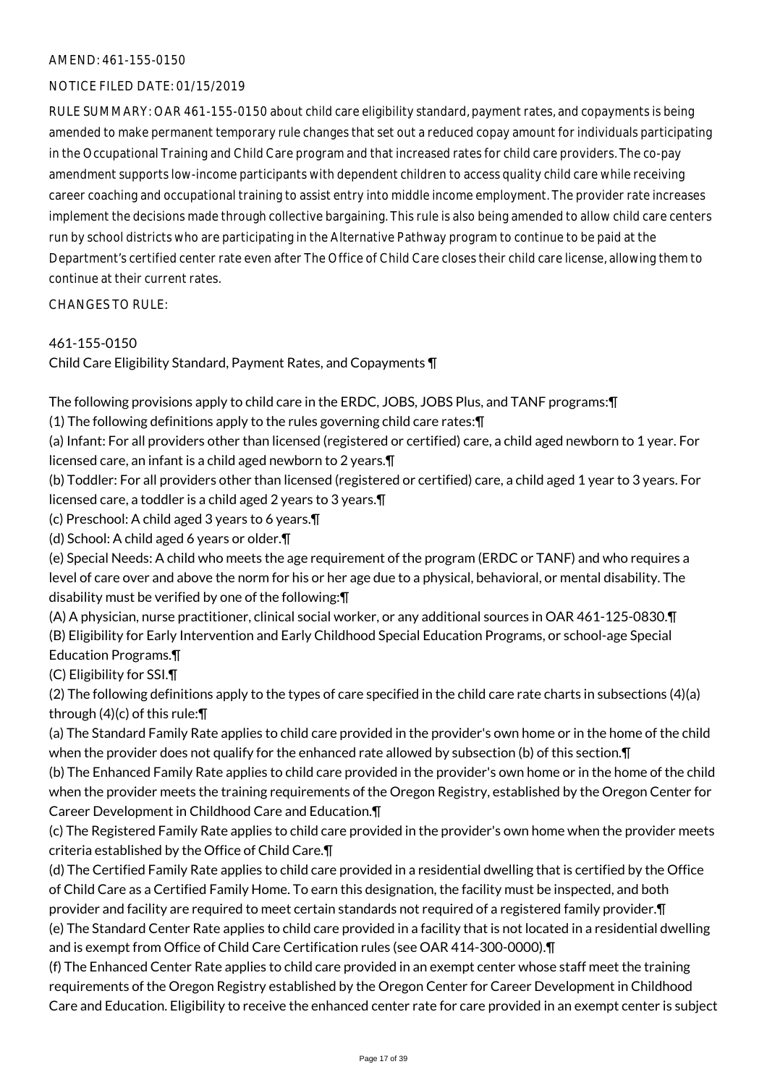# AMEND: 461-155-0150

# NOTICE FILED DATE: 01/15/2019

RULE SUMMARY: OAR 461-155-0150 about child care eligibility standard, payment rates, and copayments is being amended to make permanent temporary rule changes that set out a reduced copay amount for individuals participating in the Occupational Training and Child Care program and that increased rates for child care providers. The co-pay amendment supports low-income participants with dependent children to access quality child care while receiving career coaching and occupational training to assist entry into middle income employment. The provider rate increases implement the decisions made through collective bargaining. This rule is also being amended to allow child care centers run by school districts who are participating in the Alternative Pathway program to continue to be paid at the Department's certified center rate even after The Office of Child Care closes their child care license, allowing them to continue at their current rates.

CHANGES TO RULE:

# 461-155-0150

Child Care Eligibility Standard, Payment Rates, and Copayments ¶

The following provisions apply to child care in the ERDC, JOBS, JOBS Plus, and TANF programs:¶

(1) The following definitions apply to the rules governing child care rates:¶

(a) Infant: For all providers other than licensed (registered or certified) care, a child aged newborn to 1 year. For licensed care, an infant is a child aged newborn to 2 years.¶

(b) Toddler: For all providers other than licensed (registered or certified) care, a child aged 1 year to 3 years. For licensed care, a toddler is a child aged 2 years to 3 years.¶

(c) Preschool: A child aged 3 years to 6 years.¶

(d) School: A child aged 6 years or older.¶

(e) Special Needs: A child who meets the age requirement of the program (ERDC or TANF) and who requires a level of care over and above the norm for his or her age due to a physical, behavioral, or mental disability. The disability must be verified by one of the following:¶

(A) A physician, nurse practitioner, clinical social worker, or any additional sources in OAR 461-125-0830.¶ (B) Eligibility for Early Intervention and Early Childhood Special Education Programs, or school-age Special Education Programs.¶

(C) Eligibility for SSI.¶

(2) The following definitions apply to the types of care specified in the child care rate charts in subsections (4)(a) through (4)(c) of this rule:¶

(a) The Standard Family Rate applies to child care provided in the provider's own home or in the home of the child when the provider does not qualify for the enhanced rate allowed by subsection (b) of this section.¶

(b) The Enhanced Family Rate applies to child care provided in the provider's own home or in the home of the child when the provider meets the training requirements of the Oregon Registry, established by the Oregon Center for Career Development in Childhood Care and Education.¶

(c) The Registered Family Rate applies to child care provided in the provider's own home when the provider meets criteria established by the Office of Child Care.¶

(d) The Certified Family Rate applies to child care provided in a residential dwelling that is certified by the Office of Child Care as a Certified Family Home. To earn this designation, the facility must be inspected, and both provider and facility are required to meet certain standards not required of a registered family provider. In (e) The Standard Center Rate applies to child care provided in a facility that is not located in a residential dwelling and is exempt from Office of Child Care Certification rules (see OAR 414-300-0000).¶

(f) The Enhanced Center Rate applies to child care provided in an exempt center whose staff meet the training requirements of the Oregon Registry established by the Oregon Center for Career Development in Childhood Care and Education. Eligibility to receive the enhanced center rate for care provided in an exempt center is subject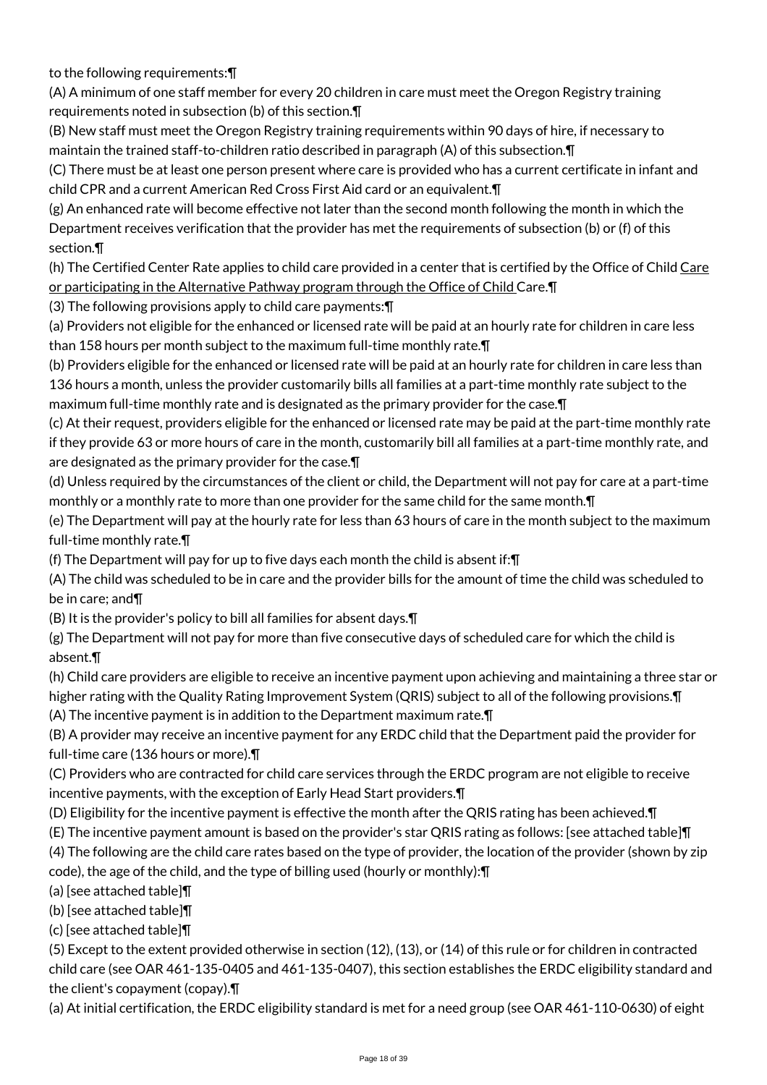to the following requirements:¶

(A) A minimum of one staff member for every 20 children in care must meet the Oregon Registry training requirements noted in subsection (b) of this section.¶

(B) New staff must meet the Oregon Registry training requirements within 90 days of hire, if necessary to maintain the trained staff-to-children ratio described in paragraph (A) of this subsection.¶

(C) There must be at least one person present where care is provided who has a current certificate in infant and child CPR and a current American Red Cross First Aid card or an equivalent.¶

(g) An enhanced rate will become effective not later than the second month following the month in which the Department receives verification that the provider has met the requirements of subsection (b) or (f) of this section.¶

(h) The Certified Center Rate applies to child care provided in a center that is certified by the Office of Child Care or participating in the Alternative Pathway program through the Office of Child Care.¶

(3) The following provisions apply to child care payments:¶

(a) Providers not eligible for the enhanced or licensed rate will be paid at an hourly rate for children in care less than 158 hours per month subject to the maximum full-time monthly rate.¶

(b) Providers eligible for the enhanced or licensed rate will be paid at an hourly rate for children in care less than 136 hours a month, unless the provider customarily bills all families at a part-time monthly rate subject to the maximum full-time monthly rate and is designated as the primary provider for the case.¶

(c) At their request, providers eligible for the enhanced or licensed rate may be paid at the part-time monthly rate if they provide 63 or more hours of care in the month, customarily bill all families at a part-time monthly rate, and are designated as the primary provider for the case.¶

(d) Unless required by the circumstances of the client or child, the Department will not pay for care at a part-time monthly or a monthly rate to more than one provider for the same child for the same month.¶

(e) The Department will pay at the hourly rate for less than 63 hours of care in the month subject to the maximum full-time monthly rate.¶

(f) The Department will pay for up to five days each month the child is absent if:¶

(A) The child was scheduled to be in care and the provider bills for the amount of time the child was scheduled to be in care; and¶

(B) It is the provider's policy to bill all families for absent days.¶

(g) The Department will not pay for more than five consecutive days of scheduled care for which the child is absent.¶

(h) Child care providers are eligible to receive an incentive payment upon achieving and maintaining a three star or higher rating with the Quality Rating Improvement System (QRIS) subject to all of the following provisions.¶

(A) The incentive payment is in addition to the Department maximum rate.¶

(B) A provider may receive an incentive payment for any ERDC child that the Department paid the provider for full-time care (136 hours or more).¶

(C) Providers who are contracted for child care services through the ERDC program are not eligible to receive incentive payments, with the exception of Early Head Start providers.¶

(D) Eligibility for the incentive payment is effective the month after the QRIS rating has been achieved.¶

(E) The incentive payment amount is based on the provider's star QRIS rating as follows: [see attached table]¶ (4) The following are the child care rates based on the type of provider, the location of the provider (shown by zip code), the age of the child, and the type of billing used (hourly or monthly):¶

(a) [see attached table]¶

(b) [see attached table]¶

(c) [see attached table]¶

(5) Except to the extent provided otherwise in section (12), (13), or (14) of this rule or for children in contracted child care (see OAR 461-135-0405 and 461-135-0407), this section establishes the ERDC eligibility standard and the client's copayment (copay).¶

(a) At initial certification, the ERDC eligibility standard is met for a need group (see OAR 461-110-0630) of eight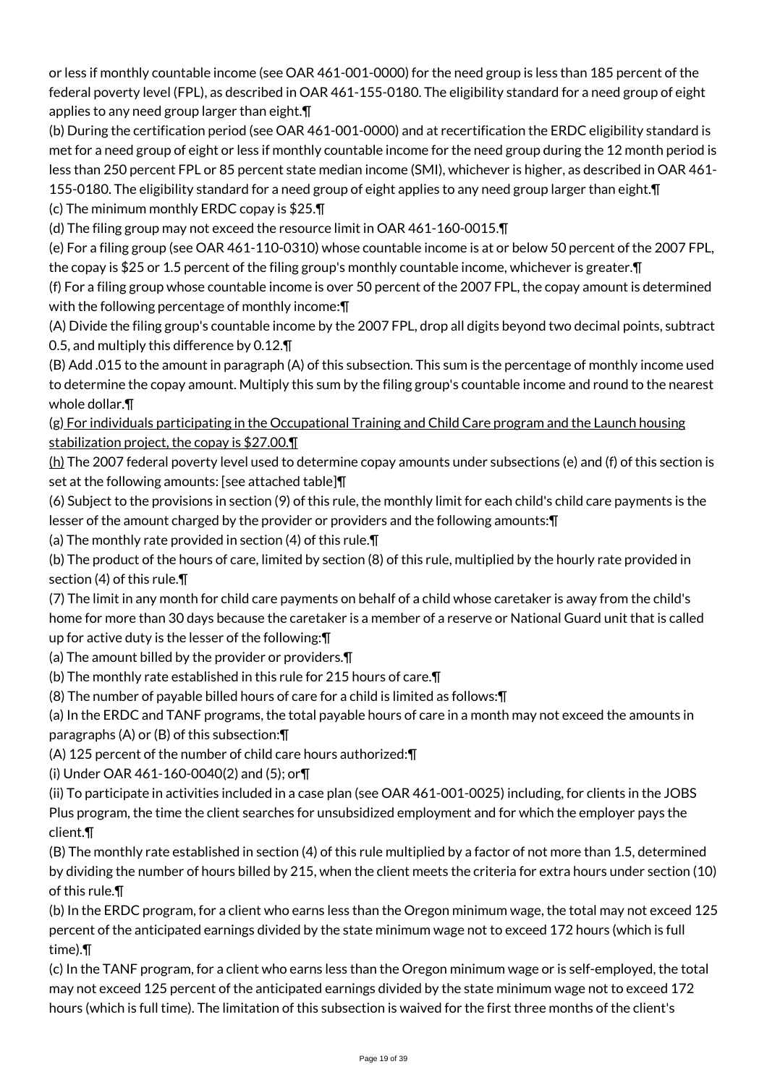or less if monthly countable income (see OAR 461-001-0000) for the need group is less than 185 percent of the federal poverty level (FPL), as described in OAR 461-155-0180. The eligibility standard for a need group of eight applies to any need group larger than eight.¶

(b) During the certification period (see OAR 461-001-0000) and at recertification the ERDC eligibility standard is met for a need group of eight or less if monthly countable income for the need group during the 12 month period is less than 250 percent FPL or 85 percent state median income (SMI), whichever is higher, as described in OAR 461- 155-0180. The eligibility standard for a need group of eight applies to any need group larger than eight. In

(c) The minimum monthly ERDC copay is \$25.¶

(d) The filing group may not exceed the resource limit in OAR 461-160-0015.¶

(e) For a filing group (see OAR 461-110-0310) whose countable income is at or below 50 percent of the 2007 FPL, the copay is \$25 or 1.5 percent of the filing group's monthly countable income, whichever is greater.¶

(f) For a filing group whose countable income is over 50 percent of the 2007 FPL, the copay amount is determined with the following percentage of monthly income:¶

(A) Divide the filing group's countable income by the 2007 FPL, drop all digits beyond two decimal points, subtract 0.5, and multiply this difference by 0.12.¶

(B) Add .015 to the amount in paragraph (A) of this subsection. This sum is the percentage of monthly income used to determine the copay amount. Multiply this sum by the filing group's countable income and round to the nearest whole dollar.¶

(g) For individuals participating in the Occupational Training and Child Care program and the Launch housing stabilization project, the copay is \$27.00.

(h) The 2007 federal poverty level used to determine copay amounts under subsections (e) and (f) of this section is set at the following amounts: [see attached table]¶

(6) Subject to the provisions in section (9) of this rule, the monthly limit for each child's child care payments is the lesser of the amount charged by the provider or providers and the following amounts:¶

(a) The monthly rate provided in section (4) of this rule.¶

(b) The product of the hours of care, limited by section (8) of this rule, multiplied by the hourly rate provided in section (4) of this rule.¶

(7) The limit in any month for child care payments on behalf of a child whose caretaker is away from the child's home for more than 30 days because the caretaker is a member of a reserve or National Guard unit that is called up for active duty is the lesser of the following:¶

(a) The amount billed by the provider or providers.¶

(b) The monthly rate established in this rule for 215 hours of care.¶

(8) The number of payable billed hours of care for a child is limited as follows:¶

(a) In the ERDC and TANF programs, the total payable hours of care in a month may not exceed the amounts in paragraphs (A) or (B) of this subsection:¶

(A) 125 percent of the number of child care hours authorized:¶

(i) Under OAR 461-160-0040(2) and (5); or¶

(ii) To participate in activities included in a case plan (see OAR 461-001-0025) including, for clients in the JOBS Plus program, the time the client searches for unsubsidized employment and for which the employer pays the client.¶

(B) The monthly rate established in section (4) of this rule multiplied by a factor of not more than 1.5, determined by dividing the number of hours billed by 215, when the client meets the criteria for extra hours under section (10) of this rule.¶

(b) In the ERDC program, for a client who earns less than the Oregon minimum wage, the total may not exceed 125 percent of the anticipated earnings divided by the state minimum wage not to exceed 172 hours (which is full time).¶

(c) In the TANF program, for a client who earns less than the Oregon minimum wage or is self-employed, the total may not exceed 125 percent of the anticipated earnings divided by the state minimum wage not to exceed 172 hours (which is full time). The limitation of this subsection is waived for the first three months of the client's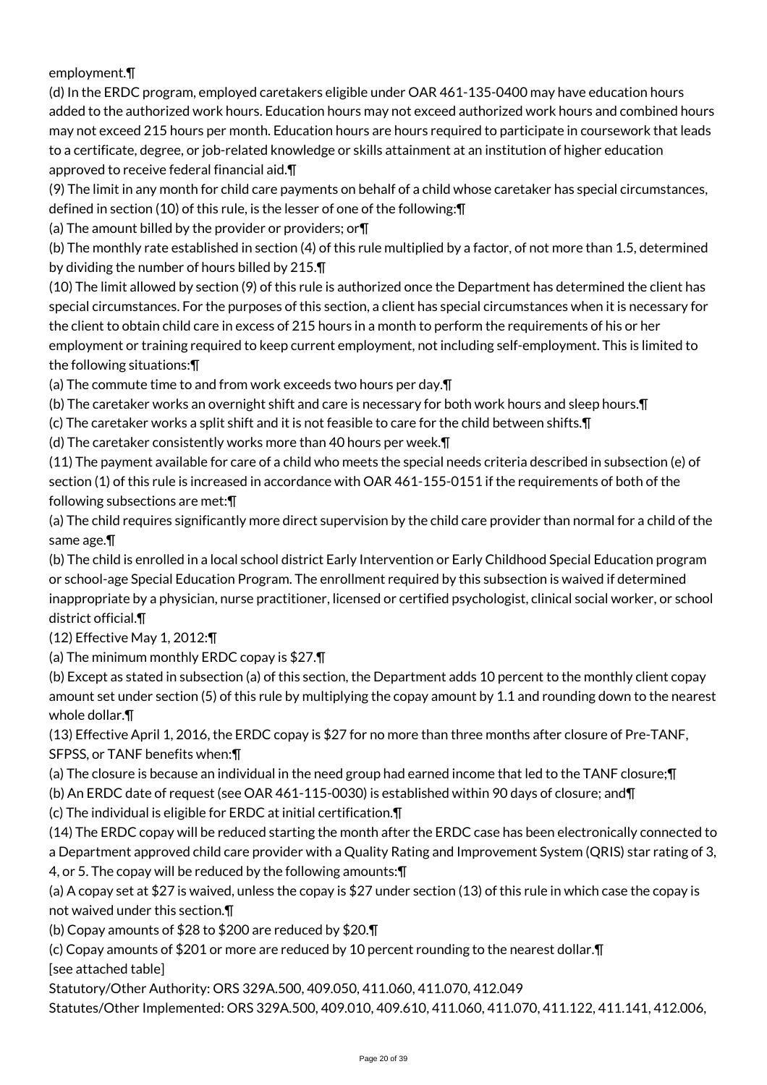employment.¶

(d) In the ERDC program, employed caretakers eligible under OAR 461-135-0400 may have education hours added to the authorized work hours. Education hours may not exceed authorized work hours and combined hours may not exceed 215 hours per month. Education hours are hours required to participate in coursework that leads to a certificate, degree, or job-related knowledge or skills attainment at an institution of higher education approved to receive federal financial aid.¶

(9) The limit in any month for child care payments on behalf of a child whose caretaker has special circumstances, defined in section (10) of this rule, is the lesser of one of the following:¶

(a) The amount billed by the provider or providers; or¶

(b) The monthly rate established in section (4) of this rule multiplied by a factor, of not more than 1.5, determined by dividing the number of hours billed by 215.¶

(10) The limit allowed by section (9) of this rule is authorized once the Department has determined the client has special circumstances. For the purposes of this section, a client has special circumstances when it is necessary for the client to obtain child care in excess of 215 hours in a month to perform the requirements of his or her employment or training required to keep current employment, not including self-employment. This is limited to the following situations:¶

(a) The commute time to and from work exceeds two hours per day.¶

(b) The caretaker works an overnight shift and care is necessary for both work hours and sleep hours.¶

(c) The caretaker works a split shift and it is not feasible to care for the child between shifts.¶

(d) The caretaker consistently works more than 40 hours per week.¶

(11) The payment available for care of a child who meets the special needs criteria described in subsection (e) of section (1) of this rule is increased in accordance with OAR 461-155-0151 if the requirements of both of the following subsections are met:¶

(a) The child requires significantly more direct supervision by the child care provider than normal for a child of the same age.¶

(b) The child is enrolled in a local school district Early Intervention or Early Childhood Special Education program or school-age Special Education Program. The enrollment required by this subsection is waived if determined inappropriate by a physician, nurse practitioner, licensed or certified psychologist, clinical social worker, or school district official.¶

(12) Effective May 1, 2012:¶

(a) The minimum monthly ERDC copay is \$27.¶

(b) Except as stated in subsection (a) of this section, the Department adds 10 percent to the monthly client copay amount set under section (5) of this rule by multiplying the copay amount by 1.1 and rounding down to the nearest whole dollar.¶

(13) Effective April 1, 2016, the ERDC copay is \$27 for no more than three months after closure of Pre-TANF, SFPSS, or TANF benefits when:¶

(a) The closure is because an individual in the need group had earned income that led to the TANF closure;¶

(b) An ERDC date of request (see OAR 461-115-0030) is established within 90 days of closure; and¶

(c) The individual is eligible for ERDC at initial certification.¶

(14) The ERDC copay will be reduced starting the month after the ERDC case has been electronically connected to a Department approved child care provider with a Quality Rating and Improvement System (QRIS) star rating of 3, 4, or 5. The copay will be reduced by the following amounts:¶

(a) A copay set at \$27 is waived, unless the copay is \$27 under section (13) of this rule in which case the copay is not waived under this section.¶

(b) Copay amounts of \$28 to \$200 are reduced by \$20.¶

(c) Copay amounts of \$201 or more are reduced by 10 percent rounding to the nearest dollar.¶ [see attached table]

Statutory/Other Authority: ORS 329A.500, 409.050, 411.060, 411.070, 412.049

Statutes/Other Implemented: ORS 329A.500, 409.010, 409.610, 411.060, 411.070, 411.122, 411.141, 412.006,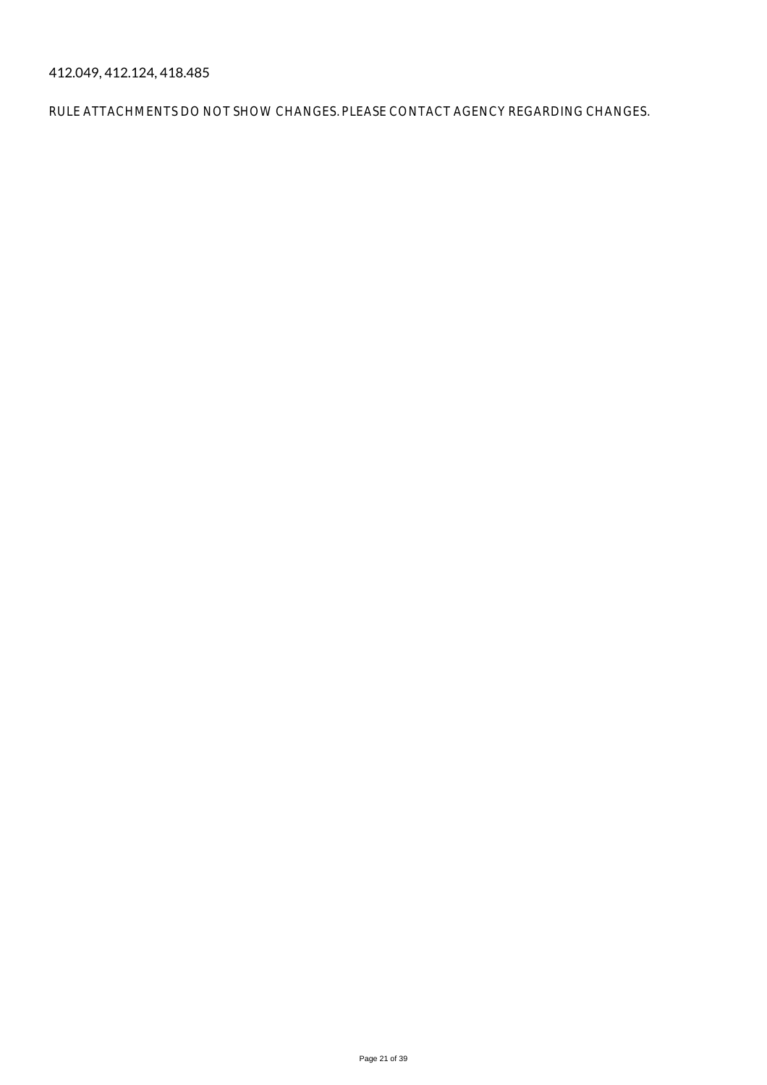412.049, 412.124, 418.485

RULE ATTACHMENTS DO NOT SHOW CHANGES. PLEASE CONTACT AGENCY REGARDING CHANGES.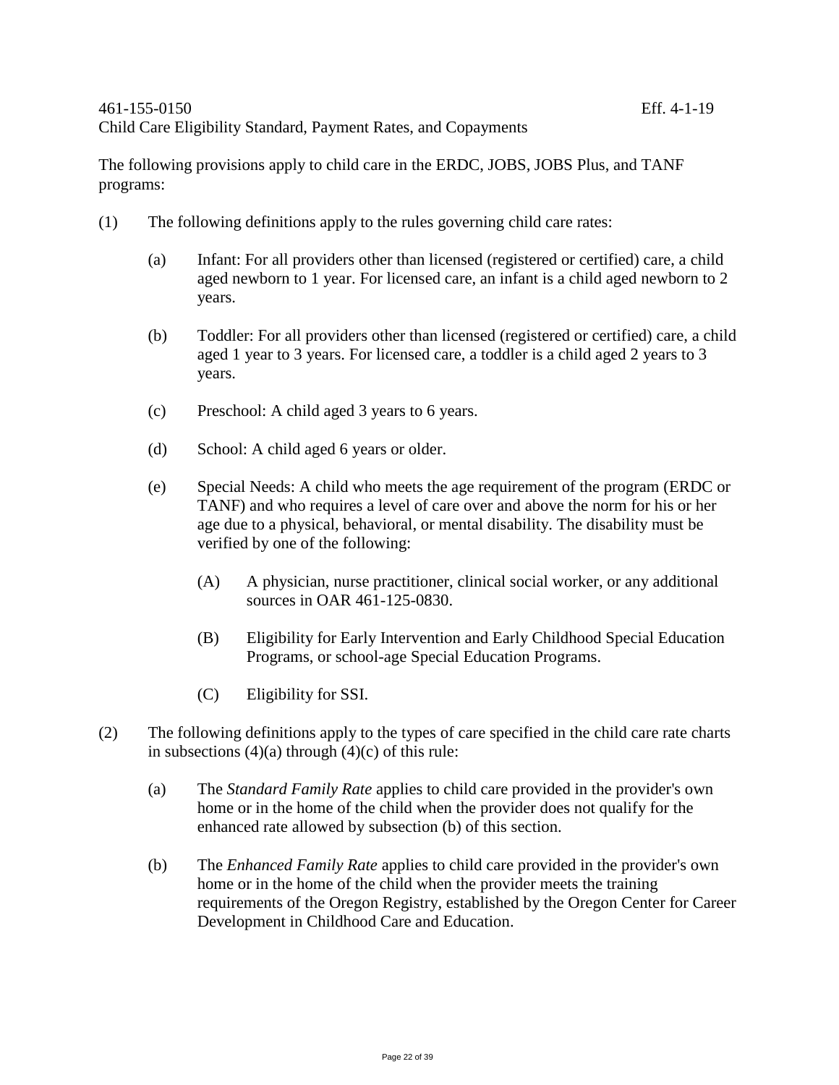The following provisions apply to child care in the ERDC, JOBS, JOBS Plus, and TANF programs:

- (1) The following definitions apply to the rules governing child care rates:
	- (a) Infant: For all providers other than licensed (registered or certified) care, a child aged newborn to 1 year. For licensed care, an infant is a child aged newborn to 2 years.
	- (b) Toddler: For all providers other than licensed (registered or certified) care, a child aged 1 year to 3 years. For licensed care, a toddler is a child aged 2 years to 3 years.
	- (c) Preschool: A child aged 3 years to 6 years.
	- (d) School: A child aged 6 years or older.
	- (e) Special Needs: A child who meets the age requirement of the program (ERDC or TANF) and who requires a level of care over and above the norm for his or her age due to a physical, behavioral, or mental disability. The disability must be verified by one of the following:
		- (A) A physician, nurse practitioner, clinical social worker, or any additional sources in OAR 461-125-0830.
		- (B) Eligibility for Early Intervention and Early Childhood Special Education Programs, or school-age Special Education Programs.
		- (C) Eligibility for SSI.
- (2) The following definitions apply to the types of care specified in the child care rate charts in subsections  $(4)(a)$  through  $(4)(c)$  of this rule:
	- (a) The *Standard Family Rate* applies to child care provided in the provider's own home or in the home of the child when the provider does not qualify for the enhanced rate allowed by subsection (b) of this section.
	- (b) The *Enhanced Family Rate* applies to child care provided in the provider's own home or in the home of the child when the provider meets the training requirements of the Oregon Registry, established by the Oregon Center for Career Development in Childhood Care and Education.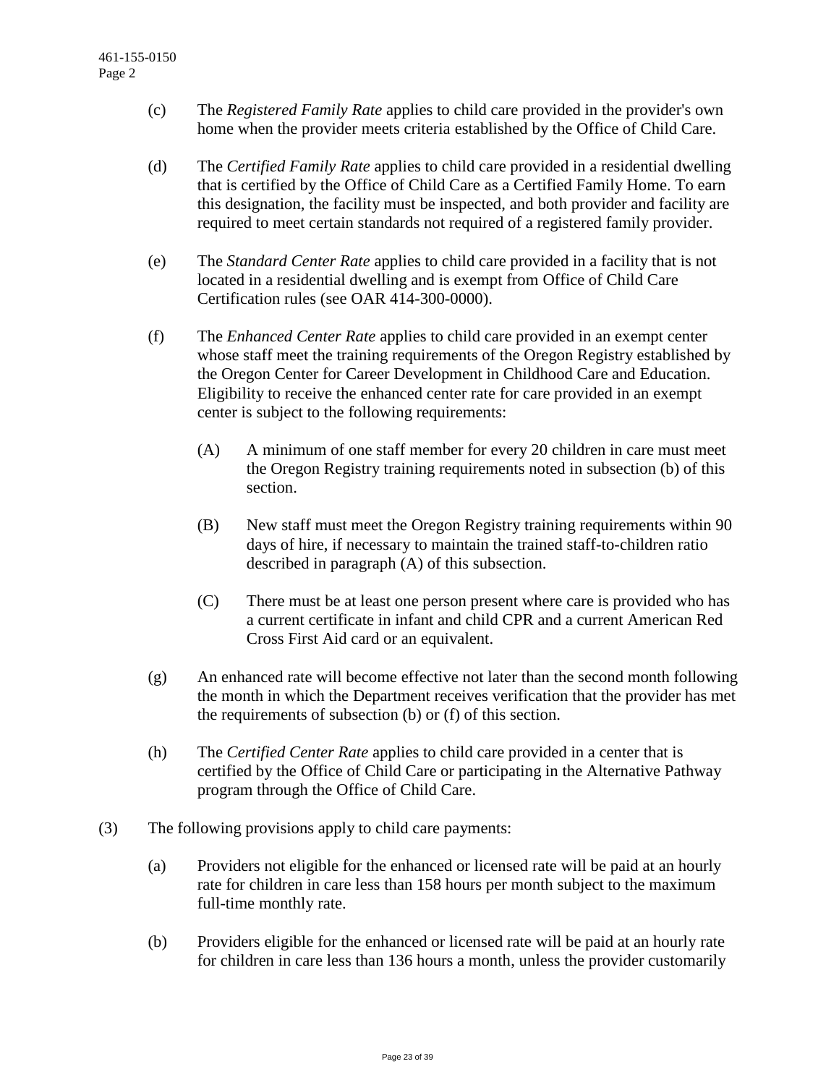- (c) The *Registered Family Rate* applies to child care provided in the provider's own home when the provider meets criteria established by the Office of Child Care.
- (d) The *Certified Family Rate* applies to child care provided in a residential dwelling that is certified by the Office of Child Care as a Certified Family Home. To earn this designation, the facility must be inspected, and both provider and facility are required to meet certain standards not required of a registered family provider.
- (e) The *Standard Center Rate* applies to child care provided in a facility that is not located in a residential dwelling and is exempt from Office of Child Care Certification rules (see OAR 414-300-0000).
- (f) The *Enhanced Center Rate* applies to child care provided in an exempt center whose staff meet the training requirements of the Oregon Registry established by the Oregon Center for Career Development in Childhood Care and Education. Eligibility to receive the enhanced center rate for care provided in an exempt center is subject to the following requirements:
	- (A) A minimum of one staff member for every 20 children in care must meet the Oregon Registry training requirements noted in subsection (b) of this section.
	- (B) New staff must meet the Oregon Registry training requirements within 90 days of hire, if necessary to maintain the trained staff-to-children ratio described in paragraph (A) of this subsection.
	- (C) There must be at least one person present where care is provided who has a current certificate in infant and child CPR and a current American Red Cross First Aid card or an equivalent.
- (g) An enhanced rate will become effective not later than the second month following the month in which the Department receives verification that the provider has met the requirements of subsection (b) or (f) of this section.
- (h) The *Certified Center Rate* applies to child care provided in a center that is certified by the Office of Child Care or participating in the Alternative Pathway program through the Office of Child Care.
- (3) The following provisions apply to child care payments:
	- (a) Providers not eligible for the enhanced or licensed rate will be paid at an hourly rate for children in care less than 158 hours per month subject to the maximum full-time monthly rate.
	- (b) Providers eligible for the enhanced or licensed rate will be paid at an hourly rate for children in care less than 136 hours a month, unless the provider customarily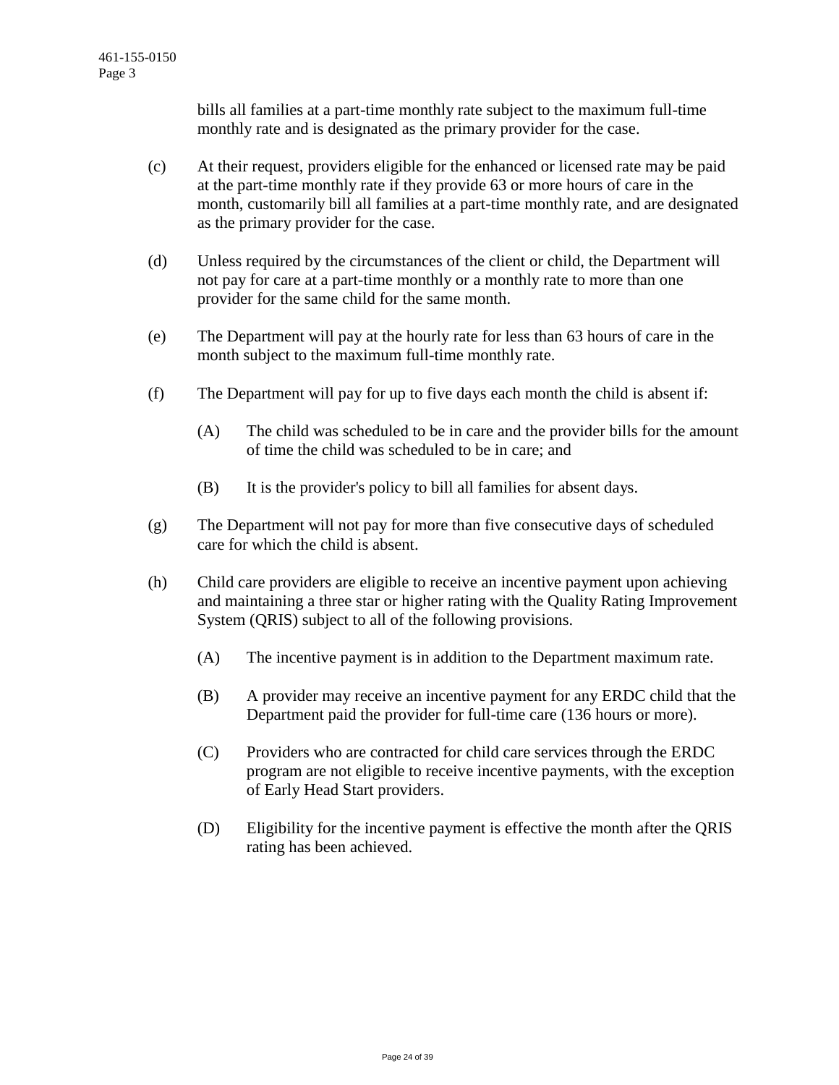bills all families at a part-time monthly rate subject to the maximum full-time monthly rate and is designated as the primary provider for the case.

- (c) At their request, providers eligible for the enhanced or licensed rate may be paid at the part-time monthly rate if they provide 63 or more hours of care in the month, customarily bill all families at a part-time monthly rate, and are designated as the primary provider for the case.
- (d) Unless required by the circumstances of the client or child, the Department will not pay for care at a part-time monthly or a monthly rate to more than one provider for the same child for the same month.
- (e) The Department will pay at the hourly rate for less than 63 hours of care in the month subject to the maximum full-time monthly rate.
- (f) The Department will pay for up to five days each month the child is absent if:
	- (A) The child was scheduled to be in care and the provider bills for the amount of time the child was scheduled to be in care; and
	- (B) It is the provider's policy to bill all families for absent days.
- (g) The Department will not pay for more than five consecutive days of scheduled care for which the child is absent.
- (h) Child care providers are eligible to receive an incentive payment upon achieving and maintaining a three star or higher rating with the Quality Rating Improvement System (QRIS) subject to all of the following provisions.
	- (A) The incentive payment is in addition to the Department maximum rate.
	- (B) A provider may receive an incentive payment for any ERDC child that the Department paid the provider for full-time care (136 hours or more).
	- (C) Providers who are contracted for child care services through the ERDC program are not eligible to receive incentive payments, with the exception of Early Head Start providers.
	- (D) Eligibility for the incentive payment is effective the month after the QRIS rating has been achieved.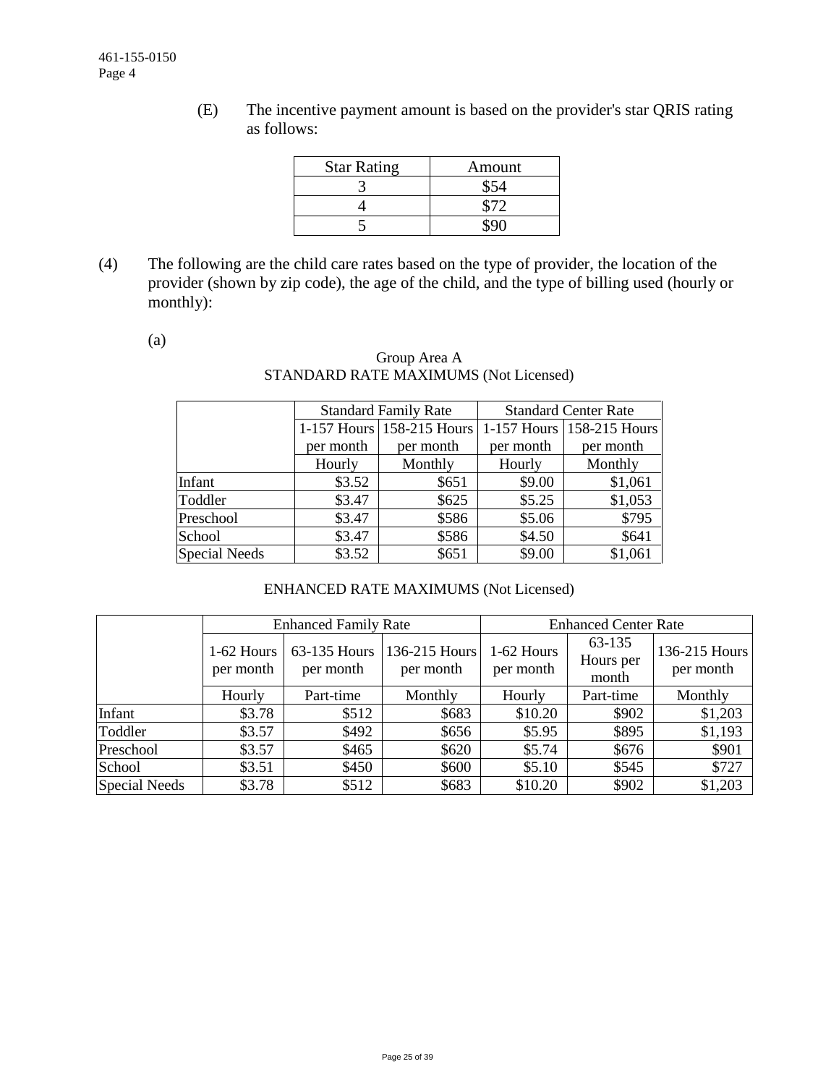(E) The incentive payment amount is based on the provider's star QRIS rating as follows:

| <b>Star Rating</b> | Amount |
|--------------------|--------|
|                    |        |
|                    |        |
|                    |        |

(4) The following are the child care rates based on the type of provider, the location of the provider (shown by zip code), the age of the child, and the type of billing used (hourly or monthly):

(a)

# Group Area A STANDARD RATE MAXIMUMS (Not Licensed)

|                      |           | <b>Standard Family Rate</b> | <b>Standard Center Rate</b> |                           |  |  |
|----------------------|-----------|-----------------------------|-----------------------------|---------------------------|--|--|
|                      |           | 1-157 Hours 158-215 Hours   |                             | 1-157 Hours 158-215 Hours |  |  |
|                      | per month | per month                   | per month                   | per month                 |  |  |
|                      | Hourly    | Monthly                     | Hourly                      | Monthly                   |  |  |
| Infant               | \$3.52    | \$651                       | \$9.00                      | \$1,061                   |  |  |
| Toddler              | \$3.47    | \$625                       | \$5.25                      | \$1,053                   |  |  |
| Preschool            | \$3.47    | \$586                       | \$5.06                      | \$795                     |  |  |
| School               | \$3.47    | \$586                       | \$4.50                      | \$641                     |  |  |
| <b>Special Needs</b> | \$3.52    | \$651                       | \$9.00                      | \$1,061                   |  |  |

# ENHANCED RATE MAXIMUMS (Not Licensed)

|               |                         | <b>Enhanced Family Rate</b> |                            | <b>Enhanced Center Rate</b> |                              |                            |  |  |
|---------------|-------------------------|-----------------------------|----------------------------|-----------------------------|------------------------------|----------------------------|--|--|
|               | 1-62 Hours<br>per month | 63-135 Hours<br>per month   | 136-215 Hours<br>per month | 1-62 Hours<br>per month     | 63-135<br>Hours per<br>month | 136-215 Hours<br>per month |  |  |
|               | Hourly                  | Part-time                   | Monthly                    | Hourly                      | Part-time                    | Monthly                    |  |  |
| Infant        | \$3.78                  | \$512                       | \$683                      | \$10.20                     | \$902                        | \$1,203                    |  |  |
| Toddler       | \$3.57                  | \$492                       | \$656                      | \$5.95                      | \$895                        | \$1,193                    |  |  |
| Preschool     | \$3.57                  | \$465                       | \$620                      | \$5.74                      | \$676                        | \$901                      |  |  |
| School        | \$3.51                  | \$450                       | \$600                      | \$5.10                      | \$545                        | \$727                      |  |  |
| Special Needs | \$3.78                  | \$512                       | \$683                      | \$10.20                     | \$902                        | \$1,203                    |  |  |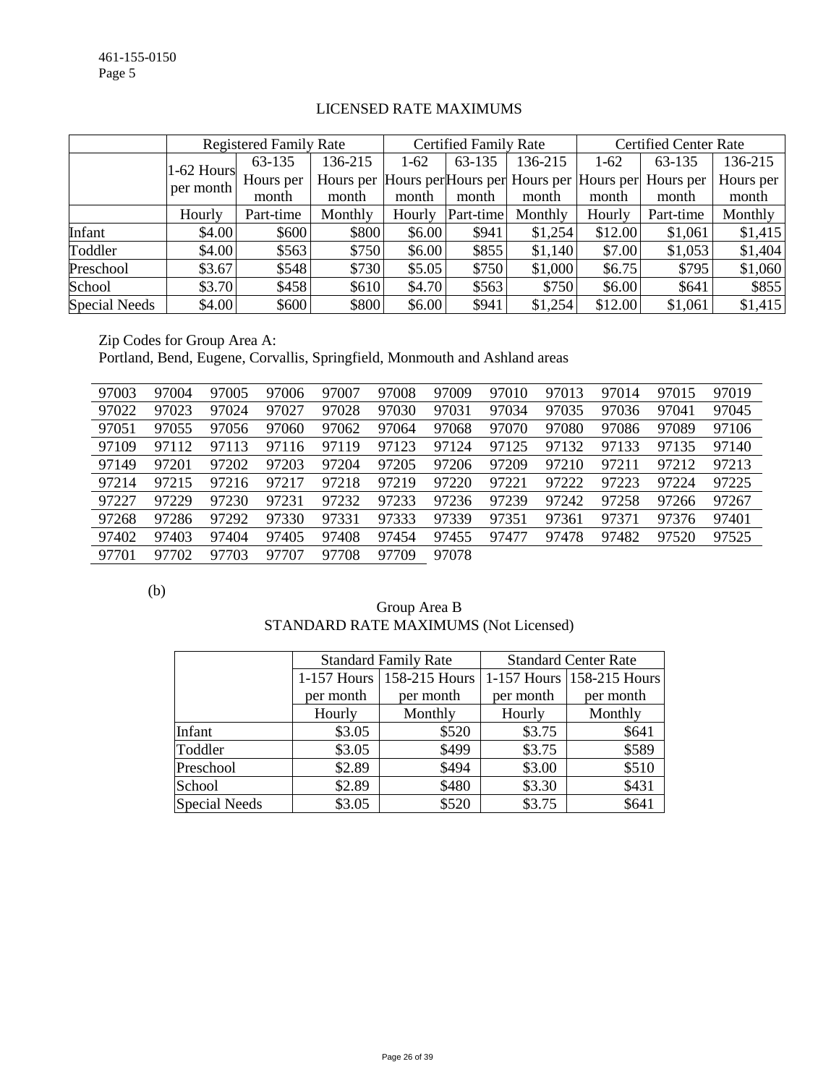|                      |              | <b>Registered Family Rate</b> |         |        | <b>Certified Family Rate</b> |         |         | <b>Certified Center Rate</b>                                |           |  |
|----------------------|--------------|-------------------------------|---------|--------|------------------------------|---------|---------|-------------------------------------------------------------|-----------|--|
|                      | $1-62$ Hours | 63-135                        | 136-215 | $1-62$ | 63-135                       | 136-215 | $1-62$  | 63-135                                                      | 136-215   |  |
|                      | per month    | Hours per                     |         |        |                              |         |         | Hours per Hours per Hours per Hours per Hours per Hours per | Hours per |  |
|                      |              | month                         | month   | month  | month                        | month   | month   | month                                                       | month     |  |
|                      | Hourly       | Part-time                     | Monthly | Hourly | Part-time                    | Monthly | Hourly  | Part-time                                                   | Monthly   |  |
| Infant               | \$4.00       | \$600                         | \$800   | \$6.00 | \$941                        | \$1,254 | \$12.00 | \$1,061                                                     | \$1,415   |  |
| Toddler              | \$4.00       | \$563                         | \$750   | \$6.00 | \$855                        | \$1,140 | \$7.00  | \$1,053                                                     | \$1,404   |  |
| Preschool            | \$3.67       | \$548                         | \$730   | \$5.05 | \$750                        | \$1,000 | \$6.75  | \$795                                                       | \$1,060   |  |
| School               | \$3.70       | \$458                         | \$610   | \$4.70 | \$563                        | \$750   | \$6.00  | \$641                                                       | \$855     |  |
| <b>Special Needs</b> | \$4.00       | \$600                         | \$800   | \$6.00 | \$941                        | \$1,254 | \$12.00 | \$1,061                                                     | \$1,415   |  |

# LICENSED RATE MAXIMUMS

Zip Codes for Group Area A: Portland, Bend, Eugene, Corvallis, Springfield, Monmouth and Ashland areas

| 97003 | 97004 | 97005 | 97006 | 97007 | 97008 | 97009 | 97010 | 97013 | 97014 | 97015 | 97019 |
|-------|-------|-------|-------|-------|-------|-------|-------|-------|-------|-------|-------|
| 97022 | 97023 | 97024 | 97027 | 97028 | 97030 | 97031 | 97034 | 97035 | 97036 | 97041 | 97045 |
| 97051 | 97055 | 97056 | 97060 | 97062 | 97064 | 97068 | 97070 | 97080 | 97086 | 97089 | 97106 |
| 97109 | 97112 | 97113 | 97116 | 97119 | 97123 | 97124 | 97125 | 97132 | 97133 | 97135 | 97140 |
| 97149 | 97201 | 97202 | 97203 | 97204 | 97205 | 97206 | 97209 | 97210 | 97211 | 97212 | 97213 |
| 97214 | 97215 | 97216 | 97217 | 97218 | 97219 | 97220 | 97221 | 97222 | 97223 | 97224 | 97225 |
| 97227 | 97229 | 97230 | 97231 | 97232 | 97233 | 97236 | 97239 | 97242 | 97258 | 97266 | 97267 |
| 97268 | 97286 | 97292 | 97330 | 97331 | 97333 | 97339 | 97351 | 97361 | 97371 | 97376 | 97401 |
| 97402 | 97403 | 97404 | 97405 | 97408 | 97454 | 97455 | 97477 | 97478 | 97482 | 97520 | 97525 |
| 97701 | 97702 | 97703 | 97707 | 97708 | 97709 | 97078 |       |       |       |       |       |

(b)

| Group Area B                          |  |
|---------------------------------------|--|
| STANDARD RATE MAXIMUMS (Not Licensed) |  |

|               |           | <b>Standard Family Rate</b> |           | <b>Standard Center Rate</b>  |  |  |  |
|---------------|-----------|-----------------------------|-----------|------------------------------|--|--|--|
|               |           | 1-157 Hours   158-215 Hours |           | 1-157 Hours $ 158-215$ Hours |  |  |  |
|               | per month | per month                   | per month | per month                    |  |  |  |
|               | Hourly    | Monthly                     | Hourly    | Monthly                      |  |  |  |
| Infant        | \$3.05    | \$520                       | \$3.75    | \$641                        |  |  |  |
| Toddler       | \$3.05    | \$499                       | \$3.75    | \$589                        |  |  |  |
| Preschool     | \$2.89    | \$494                       | \$3.00    | \$510                        |  |  |  |
| School        | \$2.89    | \$480                       | \$3.30    | \$431                        |  |  |  |
| Special Needs | \$3.05    | \$520                       | \$3.75    | \$641                        |  |  |  |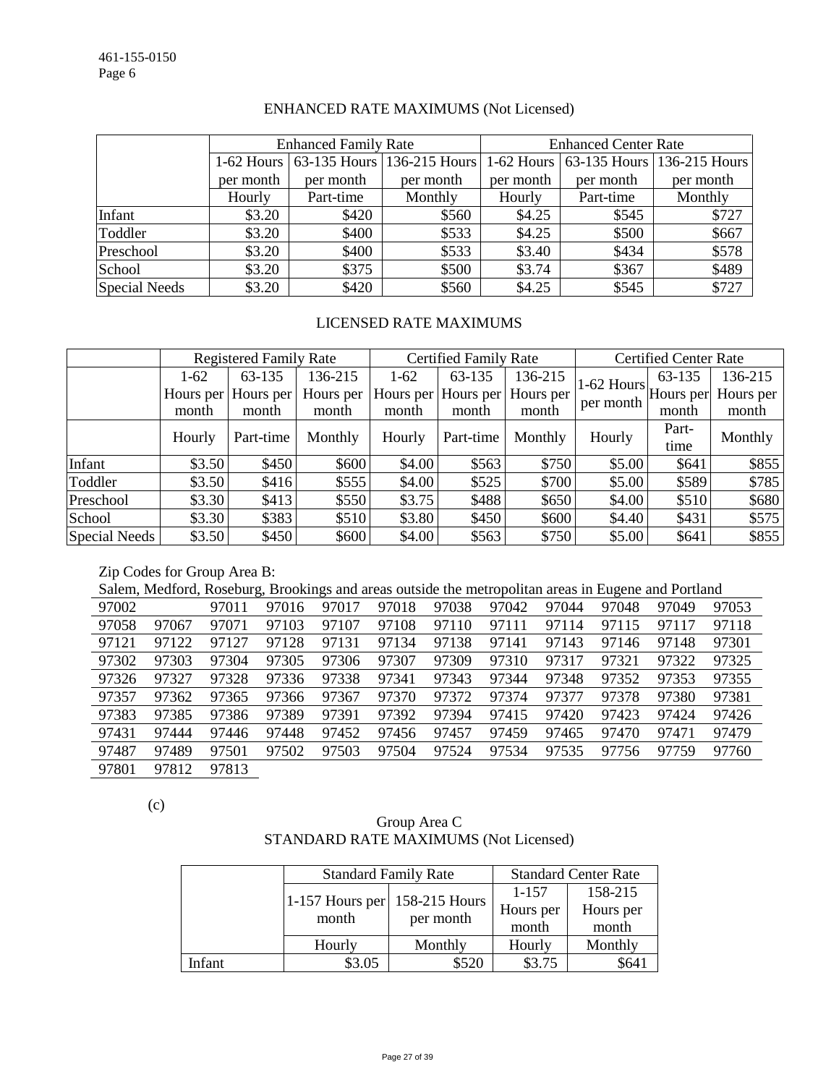|               |           | <b>Enhanced Family Rate</b> |                                       | <b>Enhanced Center Rate</b> |           |                                       |  |
|---------------|-----------|-----------------------------|---------------------------------------|-----------------------------|-----------|---------------------------------------|--|
|               |           |                             | 1-62 Hours 63-135 Hours 136-215 Hours |                             |           | 1-62 Hours 63-135 Hours 136-215 Hours |  |
|               | per month | per month                   | per month                             | per month                   | per month | per month                             |  |
|               | Hourly    | Part-time                   | Monthly                               | Hourly                      | Part-time | Monthly                               |  |
| Infant        | \$3.20    | \$420                       | \$560                                 | \$4.25                      | \$545     | \$727                                 |  |
| Toddler       | \$3.20    | \$400                       | \$533                                 | \$4.25                      | \$500     | \$667                                 |  |
| Preschool     | \$3.20    | \$400                       | \$533                                 | \$3.40                      | \$434     | \$578                                 |  |
| School        | \$3.20    | \$375                       | \$500                                 | \$3.74                      | \$367     | \$489                                 |  |
| Special Needs | \$3.20    | \$420                       | \$560                                 | \$4.25                      | \$545     | \$727                                 |  |

# ENHANCED RATE MAXIMUMS (Not Licensed)

# LICENSED RATE MAXIMUMS

|                      | <b>Registered Family Rate</b> |                     |           |        | <b>Certified Family Rate</b> |           | <b>Certified Center Rate</b>                       |        |           |
|----------------------|-------------------------------|---------------------|-----------|--------|------------------------------|-----------|----------------------------------------------------|--------|-----------|
|                      | $1-62$                        | 63-135              | 136-215   | $1-62$ | 63-135                       | 136-215   |                                                    | 63-135 | 136-215   |
|                      |                               | Hours per Hours per | Hours per |        | Hours per Hours per          | Hours per | $ 1-62$ Hours $ $ Hours per $ \cdot $<br>per month |        | Hours per |
|                      | month                         | month               | month     | month  | month                        | month     |                                                    | month  | month     |
|                      | Hourly                        | Part-time           | Monthly   | Hourly | Part-time                    | Monthly   | Hourly                                             | Part-  | Monthly   |
|                      |                               |                     |           |        |                              |           |                                                    | time   |           |
| Infant               | \$3.50                        | \$450               | \$600     | \$4.00 | \$563                        | \$750     | \$5.00                                             | \$641  | \$855     |
| Toddler              | \$3.50                        | \$416               | \$555     | \$4.00 | \$525                        | \$700     | \$5.00                                             | \$589  | \$785     |
| Preschool            | \$3.30                        | \$413               | \$550     | \$3.75 | \$488                        | \$650     | \$4.00                                             | \$510  | \$680     |
| School               | \$3.30                        | \$383               | \$510     | \$3.80 | \$450                        | \$600     | \$4.40                                             | \$431  | \$575     |
| <b>Special Needs</b> | \$3.50                        | \$450               | \$600     | \$4.00 | \$563                        | \$750     | \$5.00                                             | \$641  | \$855     |

Zip Codes for Group Area B:

Salem, Medford, Roseburg, Brookings and areas outside the metropolitan areas in Eugene and Portland

| 97002 |       | 97011 | 97016 | 97017 | 97018 | 97038 | 97042 | 97044 | 97048 | 97049 | 97053 |
|-------|-------|-------|-------|-------|-------|-------|-------|-------|-------|-------|-------|
| 97058 | 97067 | 97071 | 97103 | 97107 | 97108 | 97110 | 97111 | 97114 | 97115 | 97117 | 97118 |
| 97121 | 97122 | 97127 | 97128 | 97131 | 97134 | 97138 | 97141 | 97143 | 97146 | 97148 | 97301 |
| 97302 | 97303 | 97304 | 97305 | 97306 | 97307 | 97309 | 97310 | 97317 | 97321 | 97322 | 97325 |
| 97326 | 97327 | 97328 | 97336 | 97338 | 97341 | 97343 | 97344 | 97348 | 97352 | 97353 | 97355 |
| 97357 | 97362 | 97365 | 97366 | 97367 | 97370 | 97372 | 97374 | 97377 | 97378 | 97380 | 97381 |
| 97383 | 97385 | 97386 | 97389 | 97391 | 97392 | 97394 | 97415 | 97420 | 97423 | 97424 | 97426 |
| 97431 | 97444 | 97446 | 97448 | 97452 | 97456 | 97457 | 97459 | 97465 | 97470 | 97471 | 97479 |
| 97487 | 97489 | 97501 | 97502 | 97503 | 97504 | 97524 | 97534 | 97535 | 97756 | 97759 | 97760 |
| 97801 | 97812 | 97813 |       |       |       |       |       |       |       |       |       |

(c)

# Group Area C STANDARD RATE MAXIMUMS (Not Licensed)

|        |                                          | <b>Standard Family Rate</b> | <b>Standard Center Rate</b> |           |  |  |
|--------|------------------------------------------|-----------------------------|-----------------------------|-----------|--|--|
|        |                                          |                             | 1-157                       | 158-215   |  |  |
|        | 1-157 Hours per $158-215$ Hours<br>month |                             | Hours per                   | Hours per |  |  |
|        |                                          | per month                   | month                       | month     |  |  |
|        | Hourly                                   | Monthly                     | Hourly                      | Monthly   |  |  |
| Infant | \$3.05                                   | \$520                       | \$3.75                      | \$64.     |  |  |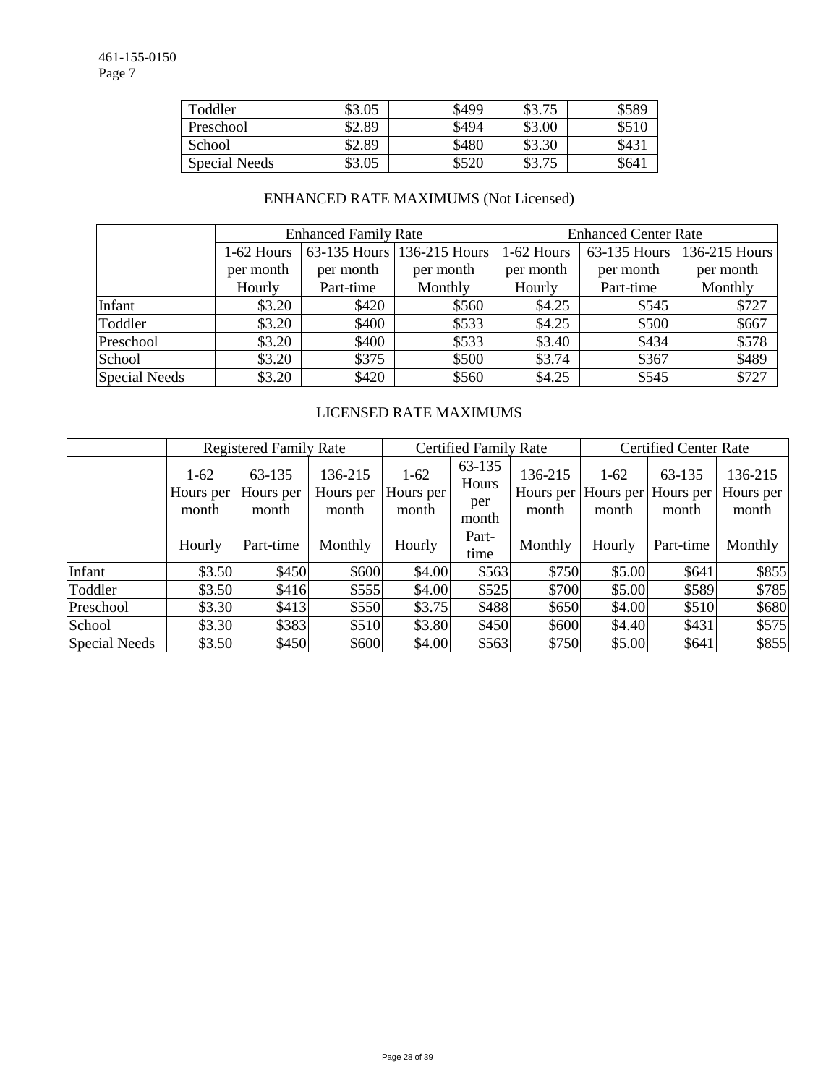| Toddler       | \$3.05 | \$499 | \$3.75 | \$589 |
|---------------|--------|-------|--------|-------|
| Preschool     | \$2.89 | \$494 | \$3.00 | \$510 |
| School        | \$2.89 | \$480 | \$3.30 | \$43  |
| Special Needs | \$3.05 | \$520 | \$3.75 | \$641 |

# ENHANCED RATE MAXIMUMS (Not Licensed)

|                      |            | <b>Enhanced Family Rate</b> |                            | <b>Enhanced Center Rate</b> |                |               |  |  |
|----------------------|------------|-----------------------------|----------------------------|-----------------------------|----------------|---------------|--|--|
|                      | 1-62 Hours |                             | 63-135 Hours 136-215 Hours | 1-62 Hours                  | $63-135$ Hours | 136-215 Hours |  |  |
|                      | per month  | per month                   | per month                  | per month                   | per month      | per month     |  |  |
|                      | Hourly     | Part-time                   | Monthly                    | Hourly                      | Part-time      | Monthly       |  |  |
| Infant               | \$3.20     | \$420                       | \$560                      | \$4.25                      | \$545          | \$727         |  |  |
| Toddler              | \$3.20     | \$400                       | \$533                      | \$4.25                      | \$500          | \$667         |  |  |
| Preschool            | \$3.20     | \$400                       | \$533                      | \$3.40                      | \$434          | \$578         |  |  |
| School               | \$3.20     | \$375                       | \$500                      | \$3.74                      | \$367          | \$489         |  |  |
| <b>Special Needs</b> | \$3.20     | \$420                       | \$560                      | \$4.25                      | \$545          | \$727         |  |  |

# LICENSED RATE MAXIMUMS

|                      |                              | <b>Registered Family Rate</b> |                               | <b>Certified Family Rate</b> |                                 |                               | <b>Certified Center Rate</b> |                              |                               |  |
|----------------------|------------------------------|-------------------------------|-------------------------------|------------------------------|---------------------------------|-------------------------------|------------------------------|------------------------------|-------------------------------|--|
|                      | $1-62$<br>Hours per<br>month | 63-135<br>Hours per<br>month  | 136-215<br>Hours per<br>month | $1-62$<br>Hours per<br>month | 63-135<br>Hours<br>per<br>month | 136-215<br>Hours per<br>month | $1-62$<br>Hours per<br>month | 63-135<br>Hours per<br>month | 136-215<br>Hours per<br>month |  |
|                      | Hourly                       | Part-time                     | Monthly                       | Hourly                       | Part-<br>time                   | Monthly                       | Hourly                       | Part-time                    | Monthly                       |  |
| Infant               | \$3.50                       | \$450                         | \$600                         | \$4.00                       | \$563                           | \$750                         | \$5.00                       | \$641                        | \$855                         |  |
| Toddler              | \$3.50                       | \$416                         | \$555                         | \$4.00                       | \$525                           | \$700                         | \$5.00                       | \$589                        | \$785                         |  |
| Preschool            | \$3.30                       | \$413                         | \$550                         | \$3.75                       | \$488                           | \$650                         | \$4.00                       | \$510                        | \$680                         |  |
| School               | \$3.30                       | \$383                         | \$510                         | \$3.80                       | \$450                           | \$600                         | \$4.40                       | \$431                        | \$575                         |  |
| <b>Special Needs</b> | \$3.50                       | \$450                         | \$600                         | \$4.00                       | \$563                           | \$750                         | \$5.00                       | \$641                        | \$855                         |  |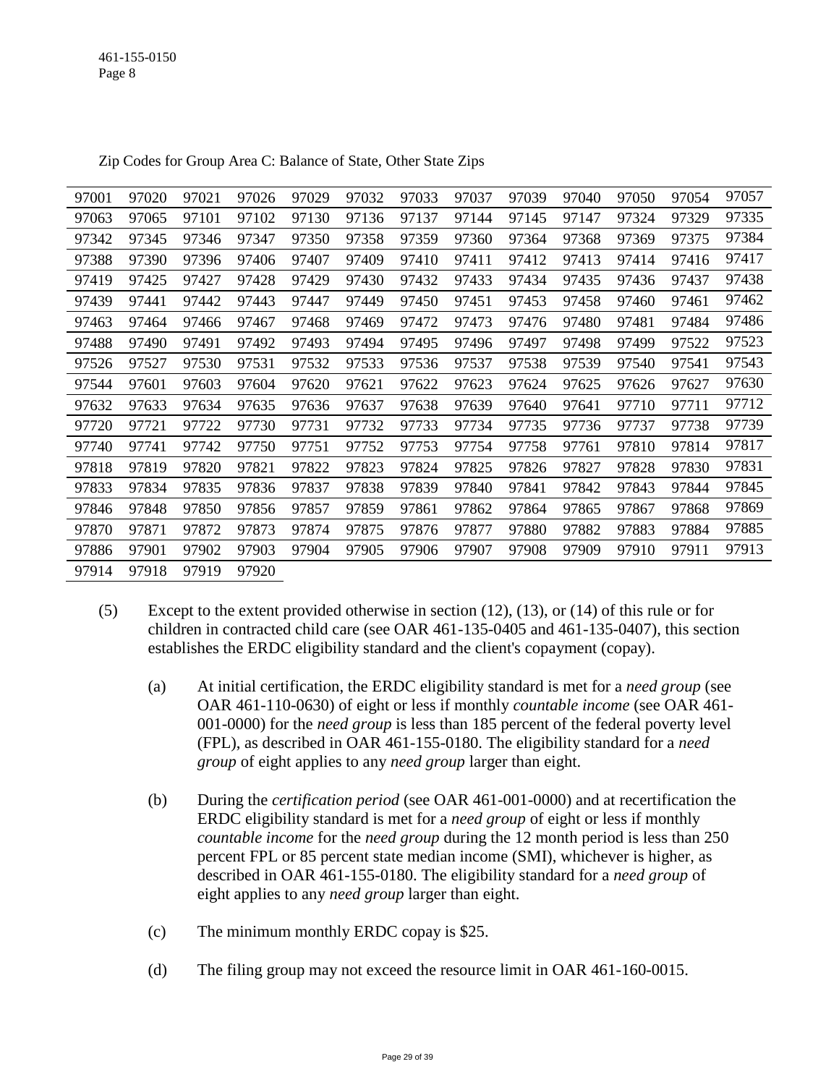| 97001 | 97020 | 97021 | 97026 | 97029 | 97032 | 97033 | 97037 | 97039 | 97040 | 97050 | 97054 | 97057 |
|-------|-------|-------|-------|-------|-------|-------|-------|-------|-------|-------|-------|-------|
| 97063 | 97065 | 97101 | 97102 | 97130 | 97136 | 97137 | 97144 | 97145 | 97147 | 97324 | 97329 | 97335 |
| 97342 | 97345 | 97346 | 97347 | 97350 | 97358 | 97359 | 97360 | 97364 | 97368 | 97369 | 97375 | 97384 |
| 97388 | 97390 | 97396 | 97406 | 97407 | 97409 | 97410 | 97411 | 97412 | 97413 | 97414 | 97416 | 97417 |
| 97419 | 97425 | 97427 | 97428 | 97429 | 97430 | 97432 | 97433 | 97434 | 97435 | 97436 | 97437 | 97438 |
| 97439 | 97441 | 97442 | 97443 | 97447 | 97449 | 97450 | 97451 | 97453 | 97458 | 97460 | 97461 | 97462 |
| 97463 | 97464 | 97466 | 97467 | 97468 | 97469 | 97472 | 97473 | 97476 | 97480 | 97481 | 97484 | 97486 |
| 97488 | 97490 | 97491 | 97492 | 97493 | 97494 | 97495 | 97496 | 97497 | 97498 | 97499 | 97522 | 97523 |
| 97526 | 97527 | 97530 | 97531 | 97532 | 97533 | 97536 | 97537 | 97538 | 97539 | 97540 | 97541 | 97543 |
| 97544 | 97601 | 97603 | 97604 | 97620 | 97621 | 97622 | 97623 | 97624 | 97625 | 97626 | 97627 | 97630 |
| 97632 | 97633 | 97634 | 97635 | 97636 | 97637 | 97638 | 97639 | 97640 | 97641 | 97710 | 97711 | 97712 |
| 97720 | 97721 | 97722 | 97730 | 97731 | 97732 | 97733 | 97734 | 97735 | 97736 | 97737 | 97738 | 97739 |
| 97740 | 97741 | 97742 | 97750 | 97751 | 97752 | 97753 | 97754 | 97758 | 97761 | 97810 | 97814 | 97817 |
| 97818 | 97819 | 97820 | 97821 | 97822 | 97823 | 97824 | 97825 | 97826 | 97827 | 97828 | 97830 | 97831 |
| 97833 | 97834 | 97835 | 97836 | 97837 | 97838 | 97839 | 97840 | 97841 | 97842 | 97843 | 97844 | 97845 |
| 97846 | 97848 | 97850 | 97856 | 97857 | 97859 | 97861 | 97862 | 97864 | 97865 | 97867 | 97868 | 97869 |
| 97870 | 97871 | 97872 | 97873 | 97874 | 97875 | 97876 | 97877 | 97880 | 97882 | 97883 | 97884 | 97885 |
| 97886 | 97901 | 97902 | 97903 | 97904 | 97905 | 97906 | 97907 | 97908 | 97909 | 97910 | 97911 | 97913 |
| 97914 | 97918 | 97919 | 97920 |       |       |       |       |       |       |       |       |       |

Zip Codes for Group Area C: Balance of State, Other State Zips

- (5) Except to the extent provided otherwise in section (12), (13), or (14) of this rule or for children in contracted child care (see OAR 461-135-0405 and 461-135-0407), this section establishes the ERDC eligibility standard and the client's copayment (copay).
	- (a) At initial certification, the ERDC eligibility standard is met for a *need group* (see OAR 461-110-0630) of eight or less if monthly *countable income* (see OAR 461- 001-0000) for the *need group* is less than 185 percent of the federal poverty level (FPL), as described in OAR 461-155-0180. The eligibility standard for a *need group* of eight applies to any *need group* larger than eight.
	- (b) During the *certification period* (see OAR 461-001-0000) and at recertification the ERDC eligibility standard is met for a *need group* of eight or less if monthly *countable income* for the *need group* during the 12 month period is less than 250 percent FPL or 85 percent state median income (SMI), whichever is higher, as described in OAR 461-155-0180. The eligibility standard for a *need group* of eight applies to any *need group* larger than eight.
	- (c) The minimum monthly ERDC copay is \$25.
	- (d) The filing group may not exceed the resource limit in OAR 461-160-0015.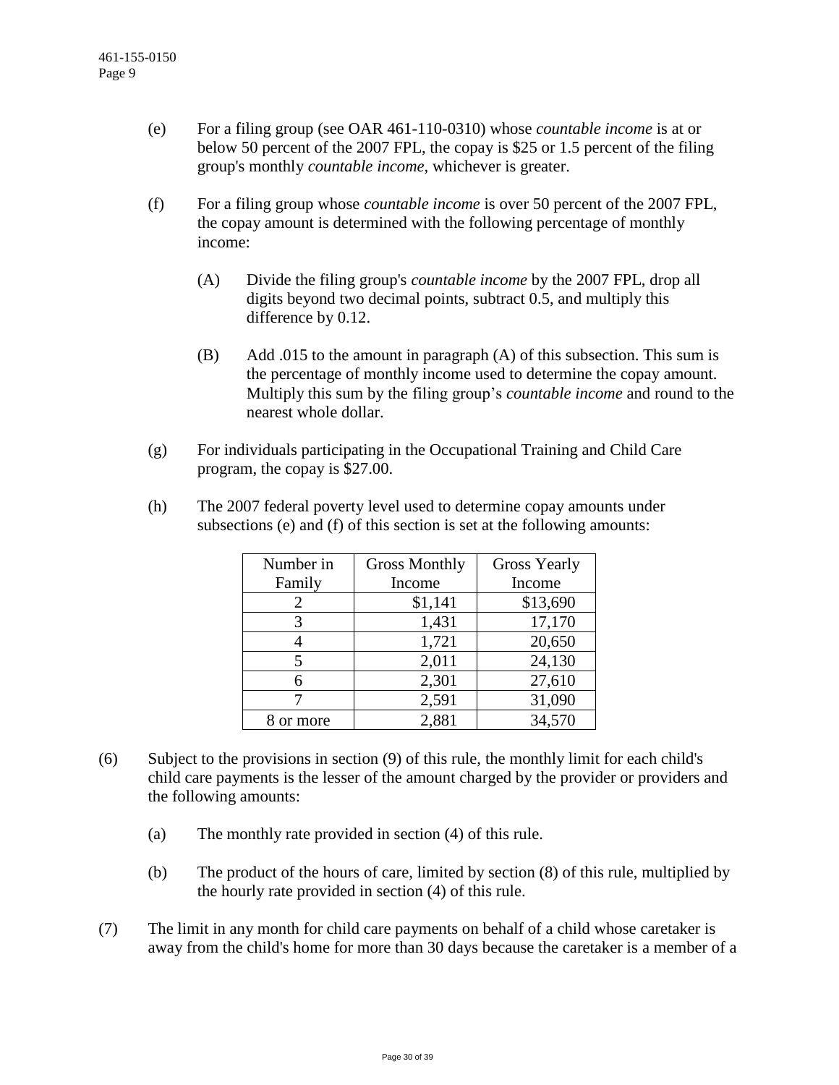- (e) For a filing group (see OAR 461-110-0310) whose *countable income* is at or below 50 percent of the 2007 FPL, the copay is \$25 or 1.5 percent of the filing group's monthly *countable income*, whichever is greater.
- (f) For a filing group whose *countable income* is over 50 percent of the 2007 FPL, the copay amount is determined with the following percentage of monthly income:
	- (A) Divide the filing group's *countable income* by the 2007 FPL, drop all digits beyond two decimal points, subtract 0.5, and multiply this difference by 0.12.
	- (B) Add .015 to the amount in paragraph (A) of this subsection. This sum is the percentage of monthly income used to determine the copay amount. Multiply this sum by the filing group's *countable income* and round to the nearest whole dollar.
- (g) For individuals participating in the Occupational Training and Child Care program, the copay is \$27.00.

| Number in | <b>Gross Monthly</b> | <b>Gross Yearly</b> |  |  |  |
|-----------|----------------------|---------------------|--|--|--|
| Family    | Income               | Income              |  |  |  |
|           | \$1,141              | \$13,690            |  |  |  |
| 3         | 1,431                | 17,170              |  |  |  |
|           | 1,721                | 20,650              |  |  |  |
|           | 2,011                | 24,130              |  |  |  |
|           | 2,301                | 27,610              |  |  |  |
|           | 2,591                | 31,090              |  |  |  |
| or more   | 2,881                | 34,570              |  |  |  |

(h) The 2007 federal poverty level used to determine copay amounts under subsections (e) and (f) of this section is set at the following amounts:

- (6) Subject to the provisions in section (9) of this rule, the monthly limit for each child's child care payments is the lesser of the amount charged by the provider or providers and the following amounts:
	- (a) The monthly rate provided in section (4) of this rule.
	- (b) The product of the hours of care, limited by section (8) of this rule, multiplied by the hourly rate provided in section (4) of this rule.
- (7) The limit in any month for child care payments on behalf of a child whose caretaker is away from the child's home for more than 30 days because the caretaker is a member of a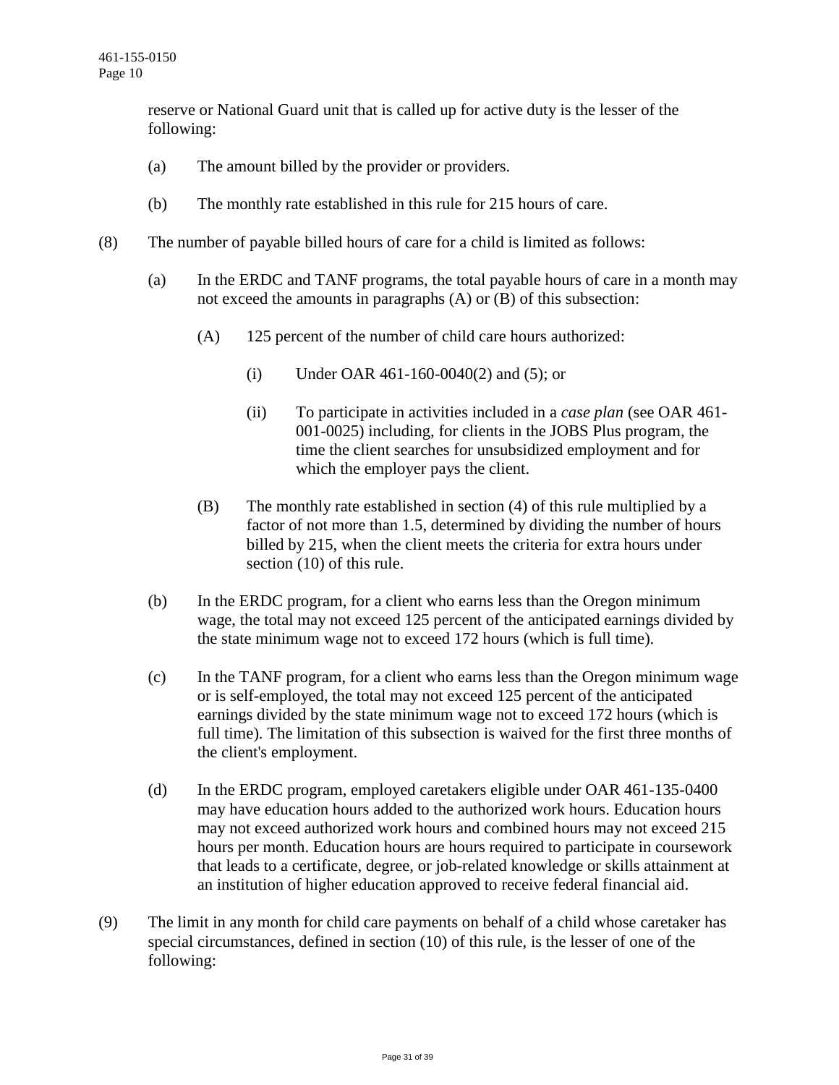reserve or National Guard unit that is called up for active duty is the lesser of the following:

- (a) The amount billed by the provider or providers.
- (b) The monthly rate established in this rule for 215 hours of care.
- (8) The number of payable billed hours of care for a child is limited as follows:
	- (a) In the ERDC and TANF programs, the total payable hours of care in a month may not exceed the amounts in paragraphs (A) or (B) of this subsection:
		- (A) 125 percent of the number of child care hours authorized:
			- (i) Under OAR 461-160-0040(2) and (5); or
			- (ii) To participate in activities included in a *case plan* (see OAR 461- 001-0025) including, for clients in the JOBS Plus program, the time the client searches for unsubsidized employment and for which the employer pays the client.
		- (B) The monthly rate established in section (4) of this rule multiplied by a factor of not more than 1.5, determined by dividing the number of hours billed by 215, when the client meets the criteria for extra hours under section (10) of this rule.
	- (b) In the ERDC program, for a client who earns less than the Oregon minimum wage, the total may not exceed 125 percent of the anticipated earnings divided by the state minimum wage not to exceed 172 hours (which is full time).
	- (c) In the TANF program, for a client who earns less than the Oregon minimum wage or is self-employed, the total may not exceed 125 percent of the anticipated earnings divided by the state minimum wage not to exceed 172 hours (which is full time). The limitation of this subsection is waived for the first three months of the client's employment.
	- (d) In the ERDC program, employed caretakers eligible under OAR 461-135-0400 may have education hours added to the authorized work hours. Education hours may not exceed authorized work hours and combined hours may not exceed 215 hours per month. Education hours are hours required to participate in coursework that leads to a certificate, degree, or job-related knowledge or skills attainment at an institution of higher education approved to receive federal financial aid.
- (9) The limit in any month for child care payments on behalf of a child whose caretaker has special circumstances, defined in section (10) of this rule, is the lesser of one of the following: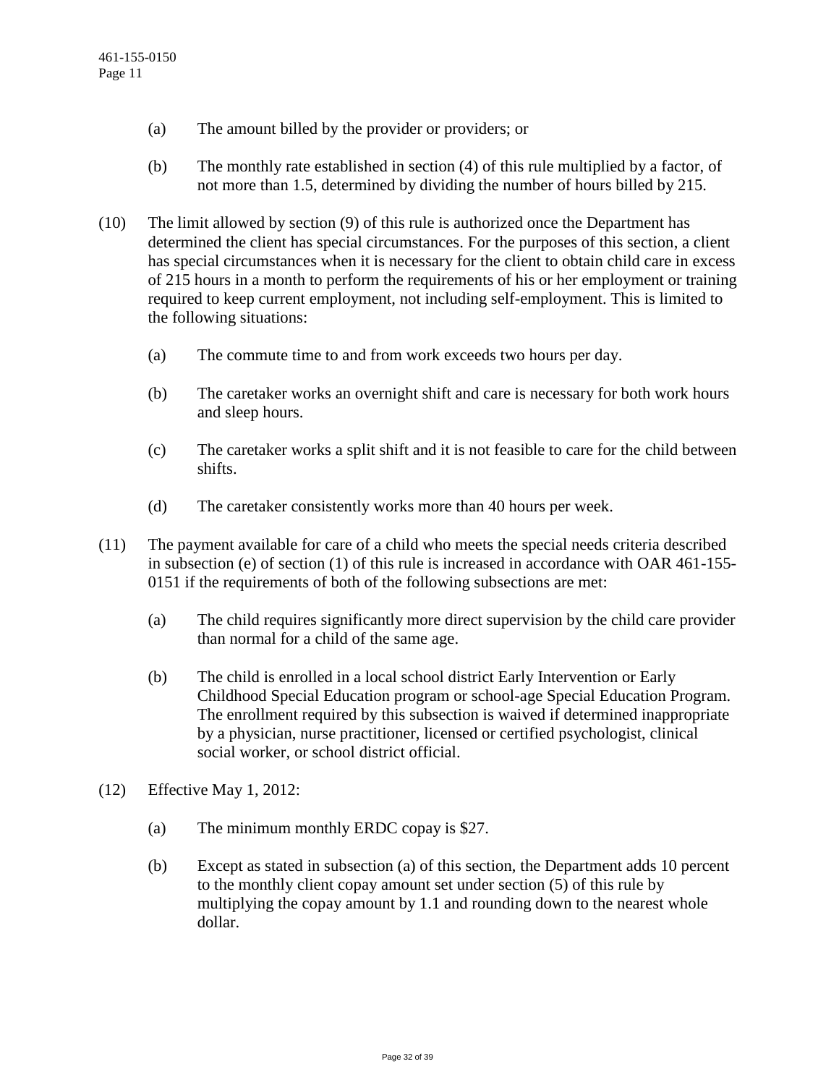- (a) The amount billed by the provider or providers; or
- (b) The monthly rate established in section (4) of this rule multiplied by a factor, of not more than 1.5, determined by dividing the number of hours billed by 215.
- (10) The limit allowed by section (9) of this rule is authorized once the Department has determined the client has special circumstances. For the purposes of this section, a client has special circumstances when it is necessary for the client to obtain child care in excess of 215 hours in a month to perform the requirements of his or her employment or training required to keep current employment, not including self-employment. This is limited to the following situations:
	- (a) The commute time to and from work exceeds two hours per day.
	- (b) The caretaker works an overnight shift and care is necessary for both work hours and sleep hours.
	- (c) The caretaker works a split shift and it is not feasible to care for the child between shifts.
	- (d) The caretaker consistently works more than 40 hours per week.
- (11) The payment available for care of a child who meets the special needs criteria described in subsection (e) of section (1) of this rule is increased in accordance with OAR 461-155- 0151 if the requirements of both of the following subsections are met:
	- (a) The child requires significantly more direct supervision by the child care provider than normal for a child of the same age.
	- (b) The child is enrolled in a local school district Early Intervention or Early Childhood Special Education program or school-age Special Education Program. The enrollment required by this subsection is waived if determined inappropriate by a physician, nurse practitioner, licensed or certified psychologist, clinical social worker, or school district official.
- (12) Effective May 1, 2012:
	- (a) The minimum monthly ERDC copay is \$27.
	- (b) Except as stated in subsection (a) of this section, the Department adds 10 percent to the monthly client copay amount set under section (5) of this rule by multiplying the copay amount by 1.1 and rounding down to the nearest whole dollar.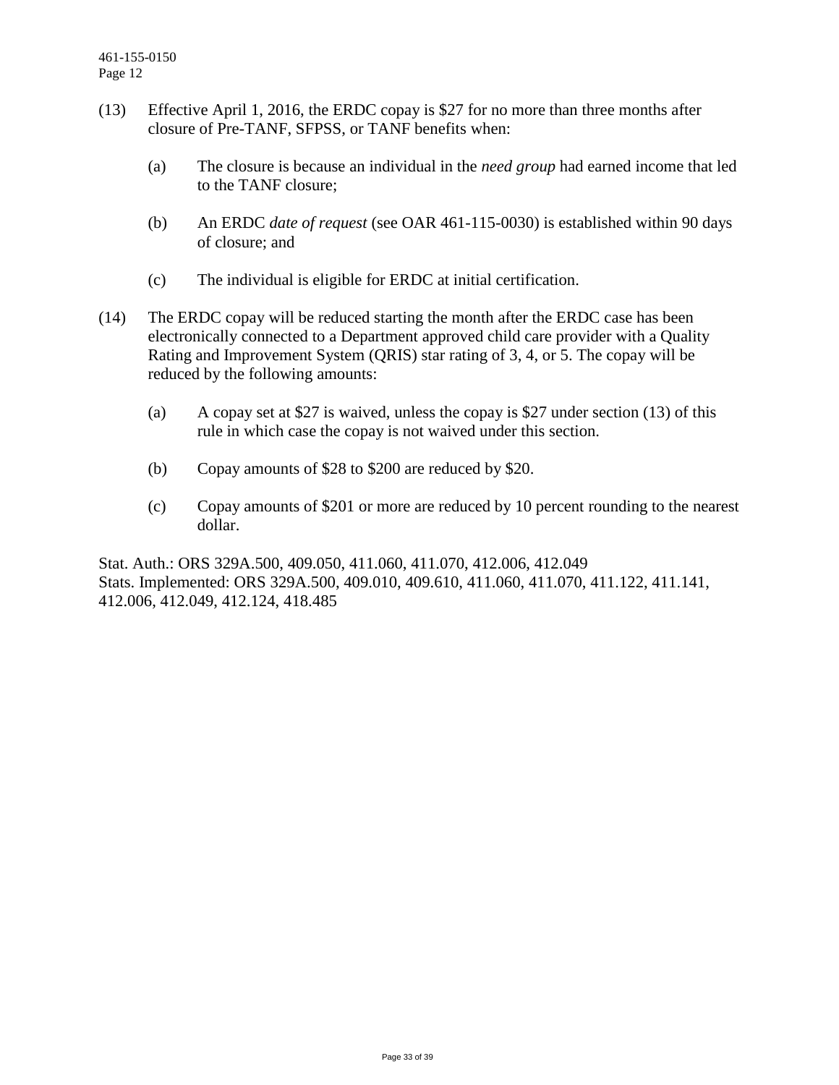- (13) Effective April 1, 2016, the ERDC copay is \$27 for no more than three months after closure of Pre-TANF, SFPSS, or TANF benefits when:
	- (a) The closure is because an individual in the *need group* had earned income that led to the TANF closure;
	- (b) An ERDC *date of request* (see OAR 461-115-0030) is established within 90 days of closure; and
	- (c) The individual is eligible for ERDC at initial certification.
- (14) The ERDC copay will be reduced starting the month after the ERDC case has been electronically connected to a Department approved child care provider with a Quality Rating and Improvement System (QRIS) star rating of 3, 4, or 5. The copay will be reduced by the following amounts:
	- (a) A copay set at \$27 is waived, unless the copay is \$27 under section (13) of this rule in which case the copay is not waived under this section.
	- (b) Copay amounts of \$28 to \$200 are reduced by \$20.
	- (c) Copay amounts of \$201 or more are reduced by 10 percent rounding to the nearest dollar.

Stat. Auth.: ORS 329A.500, 409.050, 411.060, 411.070, 412.006, 412.049 Stats. Implemented: ORS 329A.500, 409.010, 409.610, 411.060, 411.070, 411.122, 411.141, 412.006, 412.049, 412.124, 418.485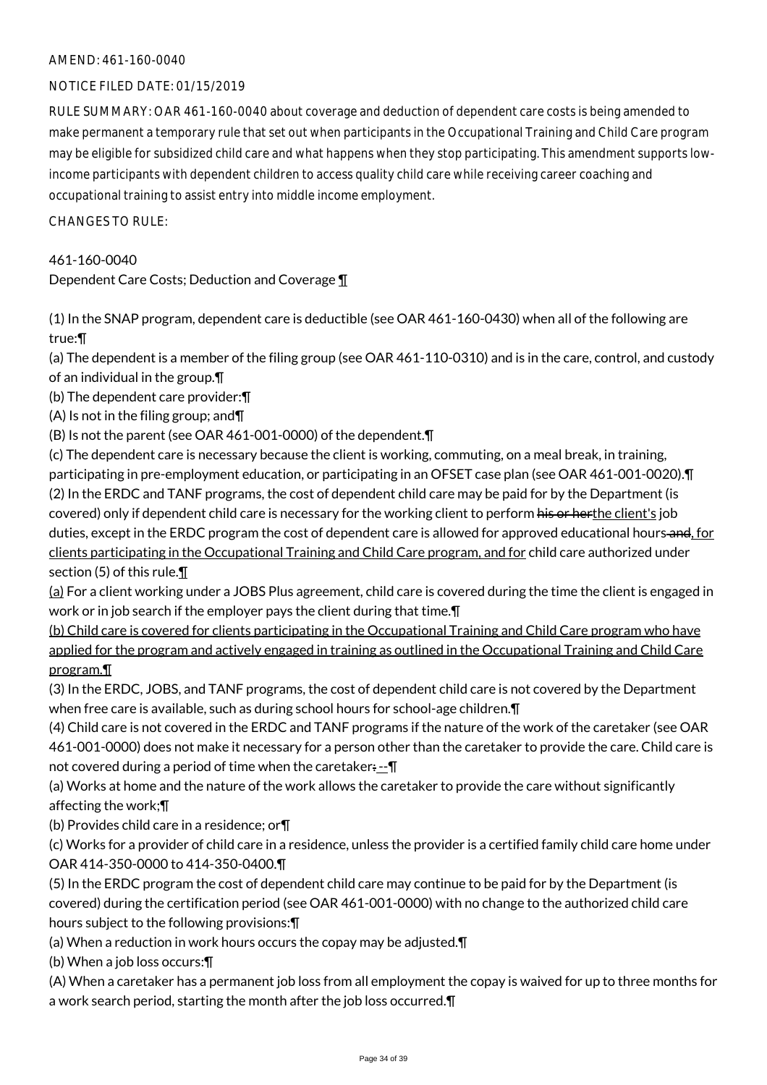# AMEND: 461-160-0040

# NOTICE FILED DATE: 01/15/2019

RULE SUMMARY: OAR 461-160-0040 about coverage and deduction of dependent care costs is being amended to make permanent a temporary rule that set out when participants in the Occupational Training and Child Care program may be eligible for subsidized child care and what happens when they stop participating. This amendment supports lowincome participants with dependent children to access quality child care while receiving career coaching and occupational training to assist entry into middle income employment.

 $CHANGESTORUIF$ 

461-160-0040

Dependent Care Costs; Deduction and Coverage ¶

(1) In the SNAP program, dependent care is deductible (see OAR 461-160-0430) when all of the following are true:¶

(a) The dependent is a member of the filing group (see OAR 461-110-0310) and is in the care, control, and custody of an individual in the group.¶

(b) The dependent care provider:¶

(A) Is not in the filing group; and¶

(B) Is not the parent (see OAR 461-001-0000) of the dependent.¶

(c) The dependent care is necessary because the client is working, commuting, on a meal break, in training, participating in pre-employment education, or participating in an OFSET case plan (see OAR 461-001-0020).¶ (2) In the ERDC and TANF programs, the cost of dependent child care may be paid for by the Department (is covered) only if dependent child care is necessary for the working client to perform his or herthe client's job duties, except in the ERDC program the cost of dependent care is allowed for approved educational hours-and, for clients participating in the Occupational Training and Child Care program, and for child care authorized under section (5) of this rule.¶

 $(a)$  For a client working under a JOBS Plus agreement, child care is covered during the time the client is engaged in work or in job search if the employer pays the client during that time.¶

(b) Child care is covered for clients participating in the Occupational Training and Child Care program who have applied for the program and actively engaged in training as outlined in the Occupational Training and Child Care program.¶

(3) In the ERDC, JOBS, and TANF programs, the cost of dependent child care is not covered by the Department when free care is available, such as during school hours for school-age children.¶

(4) Child care is not covered in the ERDC and TANF programs if the nature of the work of the caretaker (see OAR 461-001-0000) does not make it necessary for a person other than the caretaker to provide the care. Child care is not covered during a period of time when the caretaker:--- \[

(a) Works at home and the nature of the work allows the caretaker to provide the care without significantly affecting the work;¶

(b) Provides child care in a residence; or¶

(c) Works for a provider of child care in a residence, unless the provider is a certified family child care home under OAR 414-350-0000 to 414-350-0400.¶

(5) In the ERDC program the cost of dependent child care may continue to be paid for by the Department (is covered) during the certification period (see OAR 461-001-0000) with no change to the authorized child care hours subject to the following provisions:¶

(a) When a reduction in work hours occurs the copay may be adjusted.¶

(b) When a job loss occurs:¶

(A) When a caretaker has a permanent job loss from all employment the copay is waived for up to three months for a work search period, starting the month after the job loss occurred.¶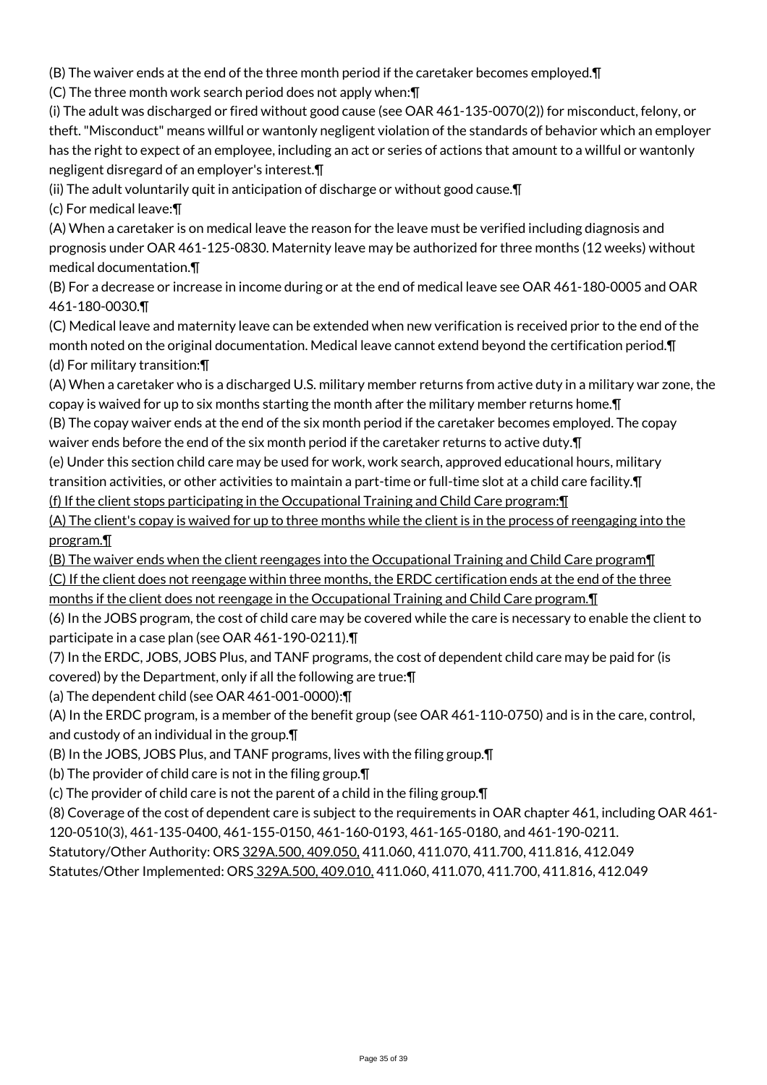(B) The waiver ends at the end of the three month period if the caretaker becomes employed.¶

(C) The three month work search period does not apply when:¶

(i) The adult was discharged or fired without good cause (see OAR 461-135-0070(2)) for misconduct, felony, or theft. "Misconduct" means willful or wantonly negligent violation of the standards of behavior which an employer has the right to expect of an employee, including an act or series of actions that amount to a willful or wantonly negligent disregard of an employer's interest.¶

(ii) The adult voluntarily quit in anticipation of discharge or without good cause.¶

(c) For medical leave:¶

(A) When a caretaker is on medical leave the reason for the leave must be verified including diagnosis and prognosis under OAR 461-125-0830. Maternity leave may be authorized for three months (12 weeks) without medical documentation.¶

(B) For a decrease or increase in income during or at the end of medical leave see OAR 461-180-0005 and OAR 461-180-0030.¶

(C) Medical leave and maternity leave can be extended when new verification is received prior to the end of the month noted on the original documentation. Medical leave cannot extend beyond the certification period.¶ (d) For military transition:¶

(A) When a caretaker who is a discharged U.S. military member returns from active duty in a military war zone, the copay is waived for up to six months starting the month after the military member returns home.¶

(B) The copay waiver ends at the end of the six month period if the caretaker becomes employed. The copay waiver ends before the end of the six month period if the caretaker returns to active duty. $\P$ 

(e) Under this section child care may be used for work, work search, approved educational hours, military transition activities, or other activities to maintain a part-time or full-time slot at a child care facility.¶ (f) If the client stops participating in the Occupational Training and Child Care program:¶

(A) The client's copay is waived for up to three months while the client is in the process of reengaging into the program.¶

(B) The waiver ends when the client reengages into the Occupational Training and Child Care program¶ (C) If the client does not reengage within three months, the ERDC certification ends at the end of the three months if the client does not reengage in the Occupational Training and Child Care program.¶

(6) In the JOBS program, the cost of child care may be covered while the care is necessary to enable the client to participate in a case plan (see OAR 461-190-0211).¶

(7) In the ERDC, JOBS, JOBS Plus, and TANF programs, the cost of dependent child care may be paid for (is covered) by the Department, only if all the following are true:¶

(a) The dependent child (see OAR 461-001-0000):¶

(A) In the ERDC program, is a member of the benefit group (see OAR 461-110-0750) and is in the care, control, and custody of an individual in the group.¶

(B) In the JOBS, JOBS Plus, and TANF programs, lives with the filing group.¶

(b) The provider of child care is not in the filing group.¶

(c) The provider of child care is not the parent of a child in the filing group.¶

(8) Coverage of the cost of dependent care is subject to the requirements in OAR chapter 461, including OAR 461-

120-0510(3), 461-135-0400, 461-155-0150, 461-160-0193, 461-165-0180, and 461-190-0211.

Statutory/Other Authority: ORS 329A.500, 409.050, 411.060, 411.070, 411.700, 411.816, 412.049

Statutes/Other Implemented: ORS 329A.500, 409.010, 411.060, 411.070, 411.700, 411.816, 412.049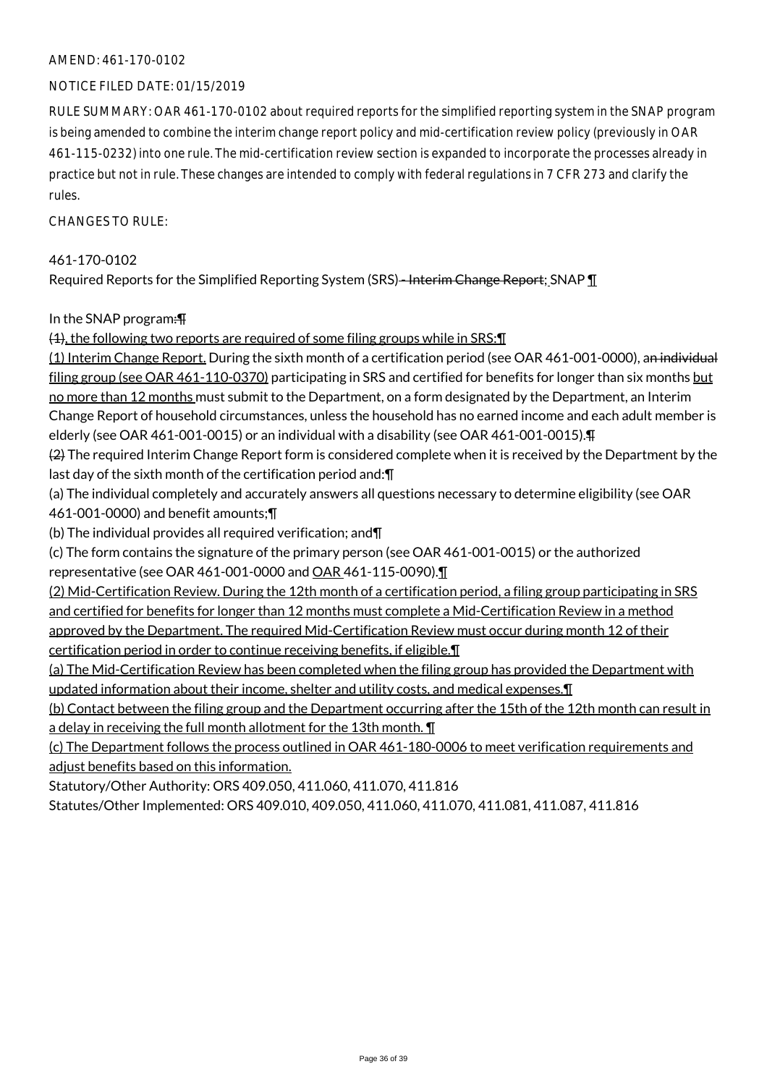# AMEND: 461-170-0102

# NOTICE FILED DATE: 01/15/2019

RULE SUMMARY: OAR 461-170-0102 about required reports for the simplified reporting system in the SNAP program is being amended to combine the interim change report policy and mid-certification review policy (previously in OAR 461-115-0232) into one rule. The mid-certification review section is expanded to incorporate the processes already in practice but not in rule. These changes are intended to comply with federal regulations in 7 CFR 273 and clarify the rules.

 $CHANGFS TO RIIF$ 

#### 461-170-0102

Required Reports for the Simplified Reporting System (SRS)-Interim Change Report; SNAP 1

# In the SNAP program:¶

(1), the following two reports are required of some filing groups while in SRS:¶

(1) Interim Change Report. During the sixth month of a certification period (see OAR 461-001-0000), an individual filing group (see OAR 461-110-0370) participating in SRS and certified for benefits for longer than six months but no more than 12 months must submit to the Department, on a form designated by the Department, an Interim Change Report of household circumstances, unless the household has no earned income and each adult member is elderly (see OAR 461-001-0015) or an individual with a disability (see OAR 461-001-0015).¶

 $(2)$  The required Interim Change Report form is considered complete when it is received by the Department by the last day of the sixth month of the certification period and:¶

(a) The individual completely and accurately answers all questions necessary to determine eligibility (see OAR 461-001-0000) and benefit amounts;¶

(b) The individual provides all required verification; and¶

(c) The form contains the signature of the primary person (see OAR 461-001-0015) or the authorized representative (see OAR 461-001-0000 and OAR 461-115-0090).¶

(2) Mid-Certification Review. During the 12th month of a certification period, a filing group participating in SRS and certified for benefits for longer than 12 months must complete a Mid-Certification Review in a method approved by the Department. The required Mid-Certification Review must occur during month 12 of their certification period in order to continue receiving benefits, if eligible.¶

(a) The Mid-Certification Review has been completed when the filing group has provided the Department with updated information about their income, shelter and utility costs, and medical expenses.¶

(b) Contact between the filing group and the Department occurring after the 15th of the 12th month can result in a delay in receiving the full month allotment for the 13th month. ¶

(c) The Department follows the process outlined in OAR 461-180-0006 to meet verification requirements and adjust benefits based on this information.

Statutory/Other Authority: ORS 409.050, 411.060, 411.070, 411.816

Statutes/Other Implemented: ORS 409.010, 409.050, 411.060, 411.070, 411.081, 411.087, 411.816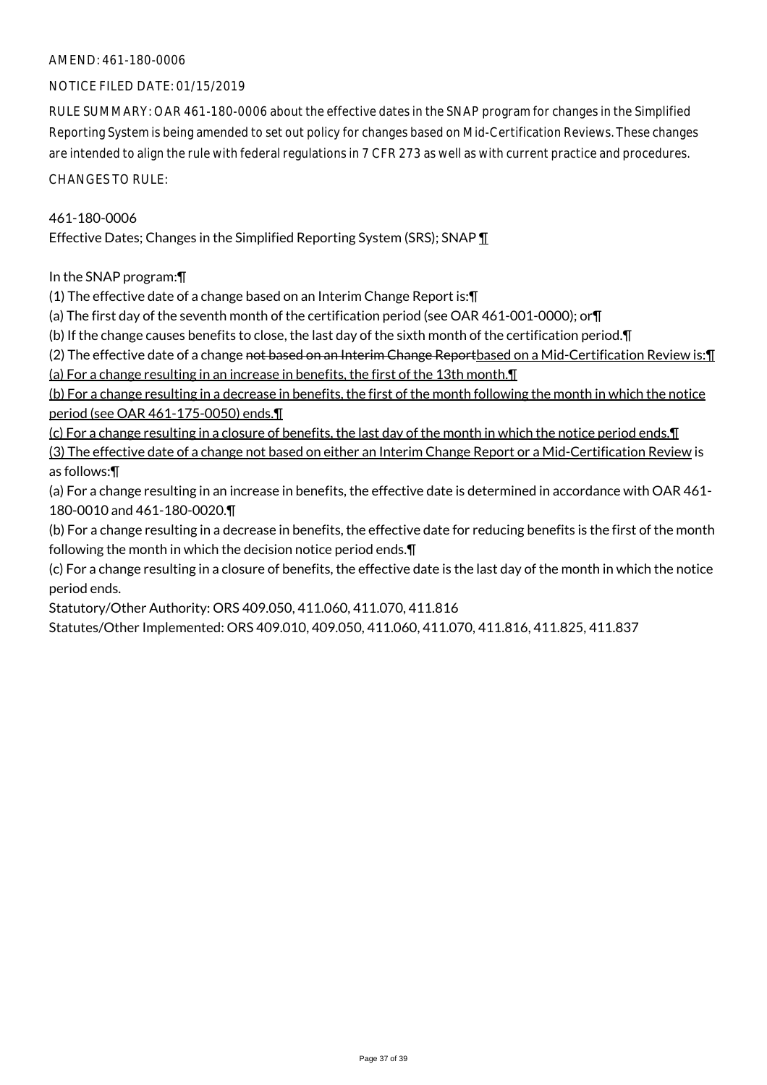# AMEND: 461-180-0006

# NOTICE FILED DATE: 01/15/2019

RULE SUMMARY: OAR 461-180-0006 about the effective dates in the SNAP program for changes in the Simplified Reporting System is being amended to set out policy for changes based on Mid-Certification Reviews. These changes are intended to align the rule with federal regulations in 7 CFR 273 as well as with current practice and procedures.

# CHANGES TO RULE:

# 461-180-0006

Effective Dates; Changes in the Simplified Reporting System (SRS); SNAP ¶

In the SNAP program:¶

(1) The effective date of a change based on an Interim Change Report is:¶

(a) The first day of the seventh month of the certification period (see OAR 461-001-0000); or¶

(b) If the change causes benefits to close, the last day of the sixth month of the certification period.¶

(2) The effective date of a change <del>not based on an Interim Change Report</del>based on a Mid-Certification Review is: [[

(a) For a change resulting in an increase in benefits, the first of the 13th month.¶

(b) For a change resulting in a decrease in benefits, the first of the month following the month in which the notice period (see OAR 461-175-0050) ends.¶

(c) For a change resulting in a closure of benefits, the last day of the month in which the notice period ends.¶

(3) The effective date of a change not based on either an Interim Change Report or a Mid-Certification Review is as follows:¶

(a) For a change resulting in an increase in benefits, the effective date is determined in accordance with OAR 461- 180-0010 and 461-180-0020.¶

(b) For a change resulting in a decrease in benefits, the effective date for reducing benefits is the first of the month following the month in which the decision notice period ends.¶

(c) For a change resulting in a closure of benefits, the effective date is the last day of the month in which the notice period ends.

Statutory/Other Authority: ORS 409.050, 411.060, 411.070, 411.816

Statutes/Other Implemented: ORS 409.010, 409.050, 411.060, 411.070, 411.816, 411.825, 411.837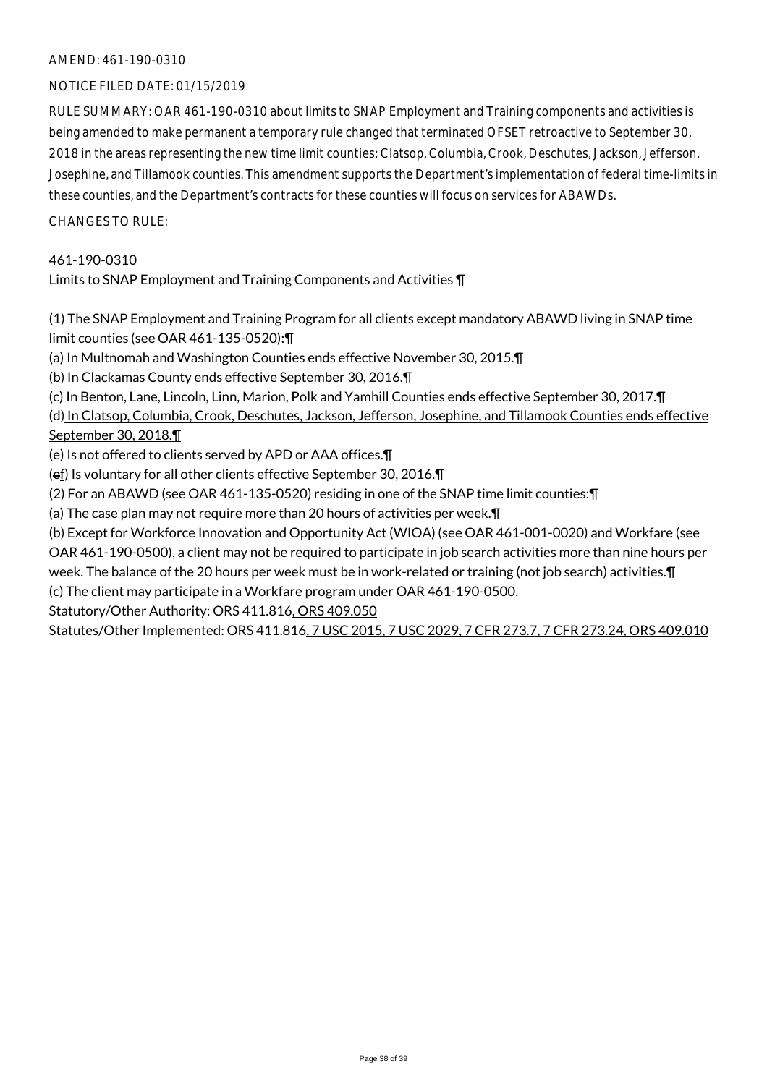# AMEND: 461-190-0310

# NOTICE FILED DATE: 01/15/2019

RULE SUMMARY: OAR 461-190-0310 about limits to SNAP Employment and Training components and activities is being amended to make permanent a temporary rule changed that terminated OFSET retroactive to September 30, 2018 in the areas representing the new time limit counties: Clatsop, Columbia, Crook, Deschutes, Jackson, Jefferson, Josephine, and Tillamook counties. This amendment supports the Department's implementation of federal time-limits in these counties, and the Department's contracts for these counties will focus on services for ABAWDs.

CHANGES TO RULE:

# 461-190-0310

Limits to SNAP Employment and Training Components and Activities ¶

(1) The SNAP Employment and Training Program for all clients except mandatory ABAWD living in SNAP time limit counties (see OAR 461-135-0520):¶

(a) In Multnomah and Washington Counties ends effective November 30, 2015.¶

(b) In Clackamas County ends effective September 30, 2016.¶

(c) In Benton, Lane, Lincoln, Linn, Marion, Polk and Yamhill Counties ends effective September 30, 2017.¶

(d) In Clatsop, Columbia, Crook, Deschutes, Jackson, Jefferson, Josephine, and Tillamook Counties ends effective September 30, 2018.¶

(e) Is not offered to clients served by APD or AAA offices.¶

(ef) Is voluntary for all other clients effective September 30, 2016.¶

(2) For an ABAWD (see OAR 461-135-0520) residing in one of the SNAP time limit counties:¶

(a) The case plan may not require more than 20 hours of activities per week.¶

(b) Except for Workforce Innovation and Opportunity Act (WIOA) (see OAR 461-001-0020) and Workfare (see OAR 461-190-0500), a client may not be required to participate in job search activities more than nine hours per week. The balance of the 20 hours per week must be in work-related or training (not job search) activities.¶ (c) The client may participate in a Workfare program under OAR 461-190-0500.

Statutory/Other Authority: ORS 411.816, ORS 409.050

Statutes/Other Implemented: ORS 411.816, 7 USC 2015, 7 USC 2029, 7 CFR 273.7, 7 CFR 273.24, ORS 409.010